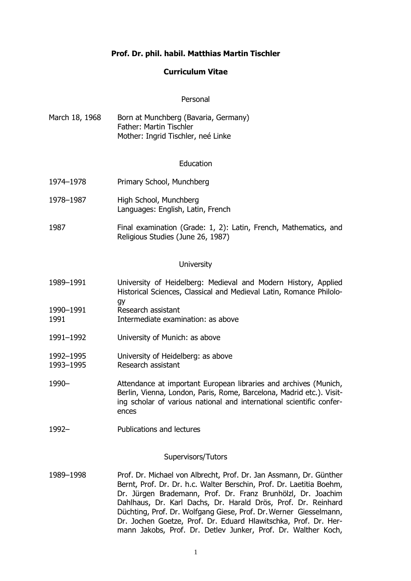# **Prof. Dr. phil. habil. Matthias Martin Tischler**

#### **Curriculum Vitae**

#### Personal

March 18, 1968 Born at Munchberg (Bavaria, Germany) Father: Martin Tischler Mother: Ingrid Tischler, neé Linke

#### Education

- 1974–1978 Primary School, Munchberg
- 1978–1987 High School, Munchberg Languages: English, Latin, French
- 1987 Final examination (Grade: 1, 2): Latin, French, Mathematics, and Religious Studies (June 26, 1987)

#### **University**

- 1989–1991 University of Heidelberg: Medieval and Modern History, Applied Historical Sciences, Classical and Medieval Latin, Romance Philology
- 1990–1991 Research assistant
- 1991 Intermediate examination: as above
- 1991–1992 University of Munich: as above
- 1992–1995 University of Heidelberg: as above
- 1993–1995 Research assistant
- 1990– Attendance at important European libraries and archives (Munich, Berlin, Vienna, London, Paris, Rome, Barcelona, Madrid etc.). Visiting scholar of various national and international scientific conferences
- 1992– Publications and lectures

#### Supervisors/Tutors

1989–1998 Prof. Dr. Michael von Albrecht, Prof. Dr. Jan Assmann, Dr. Günther Bernt, Prof. Dr. Dr. h.c. Walter Berschin, Prof. Dr. Laetitia Boehm, Dr. Jürgen Brademann, Prof. Dr. Franz Brunhölzl, Dr. Joachim Dahlhaus, Dr. Karl Dachs, Dr. Harald Drös, Prof. Dr. Reinhard Düchting, Prof. Dr. Wolfgang Giese, Prof. Dr.Werner Giesselmann, Dr. Jochen Goetze, Prof. Dr. Eduard Hlawitschka, Prof. Dr. Hermann Jakobs, Prof. Dr. Detlev Junker, Prof. Dr. Walther Koch,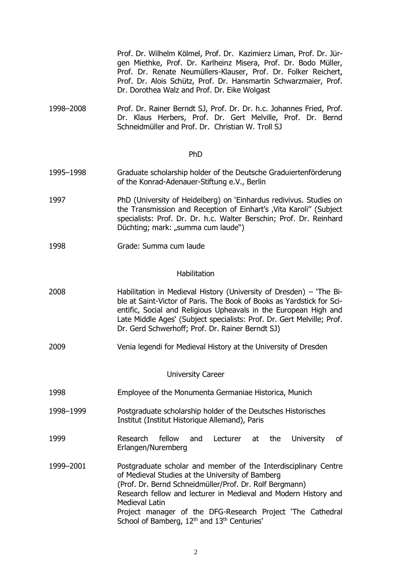Prof. Dr. Wilhelm Kölmel, Prof. Dr. Kazimierz Liman, Prof. Dr. Jürgen Miethke, Prof. Dr. Karlheinz Misera, Prof. Dr. Bodo Müller, Prof. Dr. Renate Neumüllers-Klauser, Prof. Dr. Folker Reichert, Prof. Dr. Alois Schütz, Prof. Dr. Hansmartin Schwarzmaier, Prof. Dr. Dorothea Walz and Prof. Dr. Eike Wolgast

1998–2008 Prof. Dr. Rainer Berndt SJ, Prof. Dr. Dr. h.c. Johannes Fried, Prof. Dr. Klaus Herbers, Prof. Dr. Gert Melville, Prof. Dr. Bernd Schneidmüller and Prof. Dr. Christian W. Troll SJ

#### PhD

- 1995–1998 Graduate scholarship holder of the Deutsche Graduiertenförderung of the Konrad-Adenauer-Stiftung e.V., Berlin
- 1997 PhD (University of Heidelberg) on 'Einhardus redivivus. Studies on the Transmission and Reception of Einhart's , Vita Karoli" (Subject specialists: Prof. Dr. Dr. h.c. Walter Berschin; Prof. Dr. Reinhard Düchting; mark: "summa cum laude")
- 1998 Grade: Summa cum laude

#### Habilitation

| 2008 | Habilitation in Medieval History (University of Dresden) – 'The Bi-    |
|------|------------------------------------------------------------------------|
|      | ble at Saint-Victor of Paris. The Book of Books as Yardstick for Sci-  |
|      | entific, Social and Religious Upheavals in the European High and       |
|      | Late Middle Ages' (Subject specialists: Prof. Dr. Gert Melville; Prof. |
|      | Dr. Gerd Schwerhoff; Prof. Dr. Rainer Berndt SJ)                       |

2009 Venia legendi for Medieval History at the University of Dresden

University Career

- 1998 Employee of the Monumenta Germaniae Historica, Munich
- 1998–1999 Postgraduate scholarship holder of the Deutsches Historisches Institut (Institut Historique Allemand), Paris
- 1999 Research fellow and Lecturer at the University of Erlangen/Nuremberg
- 1999–2001 Postgraduate scholar and member of the Interdisciplinary Centre of Medieval Studies at the University of Bamberg (Prof. Dr. Bernd Schneidmüller/Prof. Dr. Rolf Bergmann) Research fellow and lecturer in Medieval and Modern History and Medieval Latin Project manager of the DFG-Research Project 'The Cathedral School of Bamberg, 12<sup>th</sup> and 13<sup>th</sup> Centuries'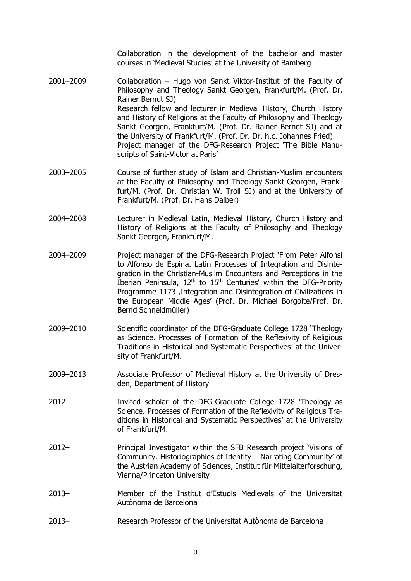Collaboration in the development of the bachelor and master courses in 'Medieval Studies' at the University of Bamberg

- 2001–2009 Collaboration Hugo von Sankt Viktor-Institut of the Faculty of Philosophy and Theology Sankt Georgen, Frankfurt/M. (Prof. Dr. Rainer Berndt SJ) Research fellow and lecturer in Medieval History, Church History and History of Religions at the Faculty of Philosophy and Theology Sankt Georgen, Frankfurt/M. (Prof. Dr. Rainer Berndt SJ) and at the University of Frankfurt/M. (Prof. Dr. Dr. h.c. Johannes Fried) Project manager of the DFG-Research Project 'The Bible Manuscripts of Saint-Victor at Paris'
- 2003–2005 Course of further study of Islam and Christian-Muslim encounters at the Faculty of Philosophy and Theology Sankt Georgen, Frankfurt/M. (Prof. Dr. Christian W. Troll SJ) and at the University of Frankfurt/M. (Prof. Dr. Hans Daiber)
- 2004–2008 Lecturer in Medieval Latin, Medieval History, Church History and History of Religions at the Faculty of Philosophy and Theology Sankt Georgen, Frankfurt/M.
- 2004–2009 Project manager of the DFG-Research Project 'From Peter Alfonsi to Alfonso de Espina. Latin Processes of Integration and Disintegration in the Christian-Muslim Encounters and Perceptions in the Iberian Peninsula, 12th to 15th Centuries' within the DFG-Priority Programme 1173 , Integration and Disintegration of Civilizations in the European Middle Ages' (Prof. Dr. Michael Borgolte/Prof. Dr. Bernd Schneidmüller)
- 2009–2010 Scientific coordinator of the DFG-Graduate College 1728 'Theology as Science. Processes of Formation of the Reflexivity of Religious Traditions in Historical and Systematic Perspectives' at the University of Frankfurt/M.
- 2009–2013 Associate Professor of Medieval History at the University of Dresden, Department of History
- 2012– Invited scholar of the DFG-Graduate College 1728 'Theology as Science. Processes of Formation of the Reflexivity of Religious Traditions in Historical and Systematic Perspectives' at the University of Frankfurt/M.
- 2012– Principal Investigator within the SFB Research project 'Visions of Community. Historiographies of Identity – Narrating Community' of the Austrian Academy of Sciences, Institut für Mittelalterforschung, Vienna/Princeton University
- 2013– Member of the Institut d'Estudis Medievals of the Universitat Autònoma de Barcelona
- 2013– Research Professor of the Universitat Autònoma de Barcelona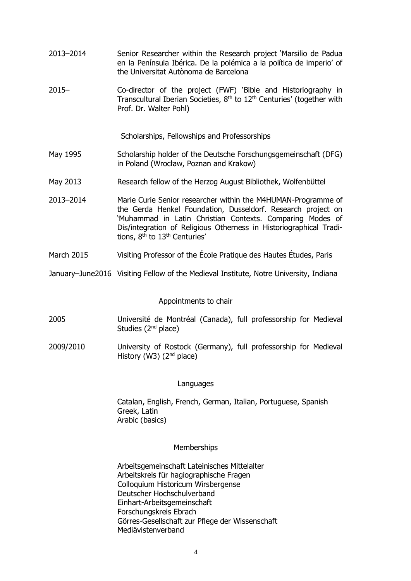- 2013–2014 Senior Researcher within the Research project 'Marsilio de Padua en la Península Ibérica. De la polémica a la política de imperio' of the Universitat Autònoma de Barcelona
- 2015– Co-director of the project (FWF) 'Bible and Historiography in Transcultural Iberian Societies,  $8<sup>th</sup>$  to  $12<sup>th</sup>$  Centuries' (together with Prof. Dr. Walter Pohl)

Scholarships, Fellowships and Professorships

- May 1995 Scholarship holder of the Deutsche Forschungsgemeinschaft (DFG) in Poland (Wrocław, Poznan and Krakow)
- May 2013 Research fellow of the Herzog August Bibliothek, Wolfenbüttel
- 2013–2014 Marie Curie Senior researcher within the M4HUMAN-Programme of the Gerda Henkel Foundation, Dusseldorf. Research project on 'Muhammad in Latin Christian Contexts. Comparing Modes of Dis/integration of Religious Otherness in Historiographical Traditions,  $8<sup>th</sup>$  to  $13<sup>th</sup>$  Centuries'
- March 2015 Visiting Professor of the École Pratique des Hautes Études, Paris
- January–June2016 Visiting Fellow of the Medieval Institute, Notre University, Indiana

#### Appointments to chair

- 2005 Université de Montréal (Canada), full professorship for Medieval Studies  $(2<sup>nd</sup>$  place)
- 2009/2010 University of Rostock (Germany), full professorship for Medieval History (W3) (2<sup>nd</sup> place)

#### Languages

Catalan, English, French, German, Italian, Portuguese, Spanish Greek, Latin Arabic (basics)

#### **Memberships**

Arbeitsgemeinschaft Lateinisches Mittelalter Arbeitskreis für hagiographische Fragen Colloquium Historicum Wirsbergense Deutscher Hochschulverband Einhart-Arbeitsgemeinschaft Forschungskreis Ebrach Görres-Gesellschaft zur Pflege der Wissenschaft Mediävistenverband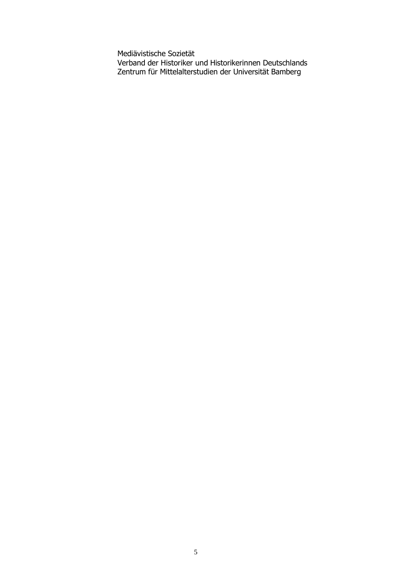Mediävistische Sozietät Verband der Historiker und Historikerinnen Deutschlands Zentrum für Mittelalterstudien der Universität Bamberg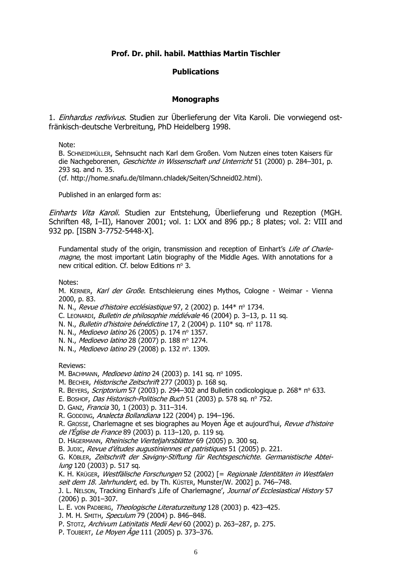# **Prof. Dr. phil. habil. Matthias Martin Tischler**

# **Publications**

#### **Monographs**

1. *Einhardus redivivus*. Studien zur Überlieferung der Vita Karoli. Die vorwiegend ostfränkisch-deutsche Verbreitung, PhD Heidelberg 1998.

Note:

B. SCHNEIDMÜLLER, Sehnsucht nach Karl dem Großen. Vom Nutzen eines toten Kaisers für die Nachgeborenen, Geschichte in Wissenschaft und Unterricht 51 (2000) p. 284–301, p. 293 sq. and n. 35. (cf. http://home.snafu.de/tilmann.chladek/Seiten/Schneid02.html).

Published in an enlarged form as:

Einharts Vita Karoli. Studien zur Entstehung, Überlieferung und Rezeption (MGH. Schriften 48, I-II), Hanover 2001; vol. 1: LXX and 896 pp.; 8 plates; vol. 2: VIII and 932 pp. [ISBN 3-7752-5448-X].

Fundamental study of the origin, transmission and reception of Einhart's Life of Charlemagne, the most important Latin biography of the Middle Ages. With annotations for a new critical edition. Cf. below Editions  $n^{\circ}$  3.

Notes:

M. KERNER, Karl der Große. Entschleierung eines Mythos, Cologne - Weimar - Vienna 2000, p. 83.

N. N., Revue d'histoire ecclésiastique 97, 2 (2002) p. 144\* nº 1734.

- C. LEONARDI, Bulletin de philosophie médiévale 46 (2004) p. 3–13, p. 11 sq.
- N. N., Bulletin d'histoire bénédictine 17, 2 (2004) p. 110\* sq. nº 1178.
- N. N., Medioevo latino 26 (2005) p. 174 nº 1357.
- N. N., Medioevo latino 28 (2007) p. 188 nº 1274.
- N. N., *Medioevo latino* 29 (2008) p. 132 nº. 1309.

Reviews:

M. BACHMANN, Medioevo latino 24 (2003) p. 141 sq. nº 1095.

M. BECHER, Historische Zeitschrift 277 (2003) p. 168 sq.

- R. BEYERS, Scriptorium 57 (2003) p. 294–302 and Bulletin codicologique p.  $268*$  n° 633.
- E. BOSHOF, Das Historisch-Politische Buch 51 (2003) p. 578 sq. nº 752.
- D. GANZ, Francia 30, 1 (2003) p. 311–314.
- R. GODDING, Analecta Bollandiana 122 (2004) p. 194–196.
- R. GROSSE, Charlemagne et ses biographes au Moyen Âge et aujourd'hui, Revue d'histoire

de l'Église de France 89 (2003) p. 113–120, p. 119 sq.

D. HÄGERMANN, Rheinische Vierteljahrsblätter 69 (2005) p. 300 sq. B. JUDIC, Revue d'études augustiniennes et patristiques 51 (2005) p. 221.

G. KÖBLER, Zeitschrift der Savigny-Stiftung für Rechtsgeschichte. Germanistische Abteilung 120 (2003) p. 517 sq.

K. H. KRÜGER, Westfälische Forschungen 52 (2002) [= Regionale Identitäten in Westfalen seit dem 18. Jahrhundert, ed. by Th. KÜSTER, Munster/W. 2002] p. 746–748.

J. L. NELSON, Tracking Einhard's , Life of Charlemagne', Journal of Ecclesiastical History 57 (2006) p. 301–307.

L. E. VON PADBERG, Theologische Literaturzeitung 128 (2003) p. 423–425.

J. M. H. SMITH, Speculum 79 (2004) p. 846-848.

P. Stotz, Archivum Latinitatis Medii Aevi 60 (2002) p. 263-287, p. 275.

P. TOUBERT, Le Moyen Âge 111 (2005) p. 373-376.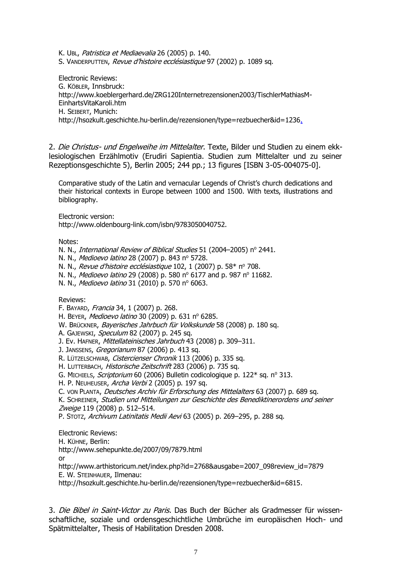K. UBL, Patristica et Mediaevalia 26 (2005) p. 140.

S. VANDERPUTTEN, Revue d'histoire ecclésiastique 97 (2002) p. 1089 sq.

Electronic Reviews: G. KÖBLER, Innsbruck: http://www.koeblergerhard.de/ZRG120Internetrezensionen2003/TischlerMathiasM-EinhartsVitaKaroli.htm H. SEIBERT, Munich: http://hsozkult.geschichte.hu-berlin.de/rezensionen/type=rezbuecher&id=1236.

2. Die Christus- und Engelweihe im Mittelalter. Texte, Bilder und Studien zu einem ekklesiologischen Erzählmotiv (Erudiri Sapientia. Studien zum Mittelalter und zu seiner Rezeptionsgeschichte 5), Berlin 2005; 244 pp.; 13 figures [ISBN 3-05-004075-0].

Comparative study of the Latin and vernacular Legends of Christ's church dedications and their historical contexts in Europe between 1000 and 1500. With texts, illustrations and bibliography.

Electronic version:

[http://www.oldenbourg-link.com/isbn/9783050040752.](http://www.oldenbourg-link.com/isbn/9783050040752)

Notes:

N. N., International Review of Biblical Studies 51 (2004–2005) nº 2441.

N. N., Medioevo latino 28 (2007) p. 843 nº 5728.

N. N., Revue d'histoire ecclésiastique 102, 1 (2007) p. 58\* nº 708.

N. N., Medioevo latino 29 (2008) p. 580 nº 6177 and p. 987 nº 11682.

N. N., Medioevo latino 31 (2010) p. 570 nº 6063.

Reviews:

F. BAYARD, Francia 34, 1 (2007) p. 268.

H. BEYER, Medioevo latino 30 (2009) p. 631 nº 6285.

W. BRÜCKNER, Bayerisches Jahrbuch für Volkskunde 58 (2008) p. 180 sq.

A. GAJEWSKI, Speculum 82 (2007) p. 245 sq.

J. Ev. HAFNER, Mittellateinisches Jahrbuch 43 (2008) p. 309-311.

J. JANSSENS, Gregorianum 87 (2006) p. 413 sq.

R. LÜTZELSCHWAB, Cistercienser Chronik 113 (2006) p. 335 sq.

H. LUTTERBACH, Historische Zeitschrift 283 (2006) p. 735 sq.

G. MICHIELS, Scriptorium 60 (2006) Bulletin codicologique p. 122\* sq. nº 313.

H. P. NEUHEUSER, Archa Verbi 2 (2005) p. 197 sq.

C. VON PLANTA, Deutsches Archiv für Erforschung des Mittelalters 63 (2007) p. 689 sq.

K. SCHREINER, Studien und Mitteilungen zur Geschichte des Benediktinerordens und seiner Zweige 119 (2008) p. 512-514.

P. Stotz, Archivum Latinitatis Medii Aevi 63 (2005) p. 269-295, p. 288 sq.

Electronic Reviews:

H. KÜHNE, Berlin:

[http://www.sehepunkte.de/2007/09/7879.html](http://www.sehepukte.de/2007/09/7879.html)

or

[http://www.arthistoricum.net/index.php?id=2768&ausgabe=2007\\_098review\\_id=7879](http://www.arthistoricum.net/index.php?id=2768&ausgabe=2007_098review_id=7879) E. W. STEINHAUER, Ilmenau:

[http://hsozkult.geschichte.hu-berlin.de/rezensionen/type=rezbuecher&id=6815.](http://hsozkult.geschichte.hu-berlin.de/rezensionen/type=rezbuecher&id=6815)

3. Die Bibel in Saint-Victor zu Paris. Das Buch der Bücher als Gradmesser für wissenschaftliche, soziale und ordensgeschichtliche Umbrüche im europäischen Hoch- und Spätmittelalter, Thesis of Habilitation Dresden 2008.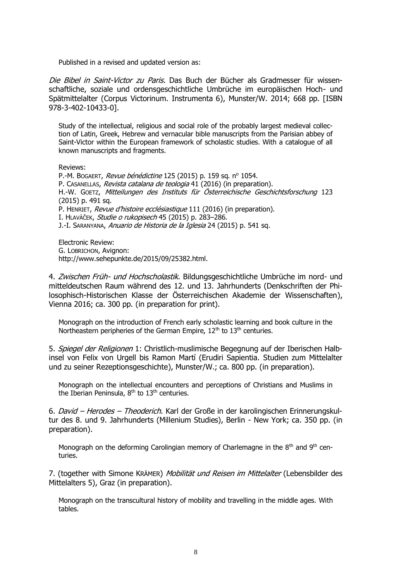Published in a revised and updated version as:

Die Bibel in Saint-Victor zu Paris. Das Buch der Bücher als Gradmesser für wissenschaftliche, soziale und ordensgeschichtliche Umbrüche im europäischen Hoch- und Spätmittelalter (Corpus Victorinum. Instrumenta 6), Munster/W. 2014; 668 pp. [ISBN 978-3-402-10433-0].

Study of the intellectual, religious and social role of the probably largest medieval collection of Latin, Greek, Hebrew and vernacular bible manuscripts from the Parisian abbey of Saint-Victor within the European framework of scholastic studies. With a catalogue of all known manuscripts and fragments.

Reviews:

P.-M. BOGAERT, Revue bénédictine 125 (2015) p. 159 sq. nº 1054. P. CASANELLAS, Revista catalana de teologia 41 (2016) (in preparation). H.-W. GOETZ, Mitteilungen des Instituts für Österreichische Geschichtsforschung 123 (2015) p. 491 sq. P. HENRIET, Revue d'histoire ecclésiastique 111 (2016) (in preparation). I. HLAVÁČEK, Studie o rukopisech 45 (2015) p. 283–286. J.-I. SARANYANA, Anuario de Historia de la Iglesia 24 (2015) p. 541 sq.

Electronic Review: G. LOBRICHON, Avignon: [http://www.sehepunkte.de/2015/09/25382.html.](http://www.sehepunkte.de/2015/09/25382.html)

4. Zwischen Früh- und Hochscholastik. Bildungsgeschichtliche Umbrüche im nord- und mitteldeutschen Raum während des 12. und 13. Jahrhunderts (Denkschriften der Philosophisch-Historischen Klasse der Österreichischen Akademie der Wissenschaften), Vienna 2016; ca. 300 pp. (in preparation for print).

Monograph on the introduction of French early scholastic learning and book culture in the Northeastern peripheries of the German Empire, 12<sup>th</sup> to 13<sup>th</sup> centuries.

5. Spiegel der Religionen 1: Christlich-muslimische Begegnung auf der Iberischen Halbinsel von Felix von Urgell bis Ramon Martí (Erudiri Sapientia. Studien zum Mittelalter und zu seiner Rezeptionsgeschichte), Munster/W.; ca. 800 pp. (in preparation).

Monograph on the intellectual encounters and perceptions of Christians and Muslims in the Iberian Peninsula,  $8<sup>th</sup>$  to  $13<sup>th</sup>$  centuries.

6. David – Herodes – Theoderich. Karl der Große in der karolingischen Erinnerungskultur des 8. und 9. Jahrhunderts (Millenium Studies), Berlin - New York; ca. 350 pp. (in preparation).

Monograph on the deforming Carolingian memory of Charlemagne in the  $8<sup>th</sup>$  and  $9<sup>th</sup>$  centuries.

7. (together with Simone KRÄMER) Mobilität und Reisen im Mittelalter (Lebensbilder des Mittelalters 5), Graz (in preparation).

Monograph on the transcultural history of mobility and travelling in the middle ages. With tables.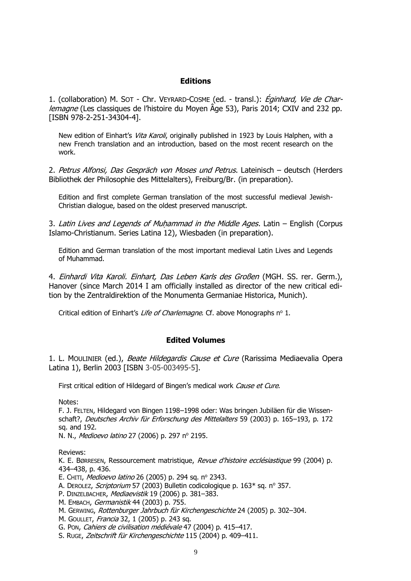### **Editions**

1. (collaboration) M. SOT - Chr. VEYRARD-COSME (ed. - transl.): *Éginhard, Vie de Char*lemagne (Les classiques de l'histoire du Moyen Âge 53), Paris 2014; CXIV and 232 pp. [ISBN 978-2-251-34304-4].

New edition of Einhart's *Vita Karoli*, originally published in 1923 by Louis Halphen, with a new French translation and an introduction, based on the most recent research on the work.

2. Petrus Alfonsi, Das Gespräch von Moses und Petrus. Lateinisch – deutsch (Herders Bibliothek der Philosophie des Mittelalters), Freiburg/Br. (in preparation).

Edition and first complete German translation of the most successful medieval Jewish-Christian dialogue, based on the oldest preserved manuscript.

3. Latin Lives and Legends of Muhammad in the Middle Ages. Latin – English (Corpus Islamo-Christianum. Series Latina 12), Wiesbaden (in preparation).

Edition and German translation of the most important medieval Latin Lives and Legends of Muhammad.

4. Einhardi Vita Karoli. Einhart, Das Leben Karls des Großen (MGH. SS. rer. Germ.), Hanover (since March 2014 I am officially installed as director of the new critical edition by the Zentraldirektion of the Monumenta Germaniae Historica, Munich).

Critical edition of Einhart's Life of Charlemagne. Cf. above Monographs nº 1.

#### **Edited Volumes**

1. L. MOULINIER (ed.), Beate Hildegardis Cause et Cure (Rarissima Mediaevalia Opera Latina 1), Berlin 2003 [ISBN 3-05-003495-5].

First critical edition of Hildegard of Bingen's medical work Cause et Cure.

Notes:

F. J. FELTEN, Hildegard von Bingen 1198–1998 oder: Was bringen Jubiläen für die Wissenschaft?, Deutsches Archiv für Erforschung des Mittelalters 59 (2003) p. 165-193, p. 172 sq. and 192.

N. N., *Medioevo latino* 27 (2006) p. 297 nº 2195.

Reviews:

K. E. BØRRESEN, Ressourcement matristique, *Revue d'histoire ecclésiastique* 99 (2004) p. 434–438, p. 436.

- E. CHITI, Medioevo latino 26 (2005) p. 294 sq. nº 2343.
- A. DEROLEZ, Scriptorium 57 (2003) Bulletin codicologique p. 163\* sq. nº 357.
- P. DINZELBACHER, Mediaevistik 19 (2006) p. 381-383.
- M. EMBACH, Germanistik 44 (2003) p. 755.
- M. GERWING, Rottenburger Jahrbuch für Kirchengeschichte 24 (2005) p. 302–304.
- M. GOULLET, Francia 32, 1 (2005) p. 243 sq.
- G. PON, Cahiers de civilisation médiévale 47 (2004) p. 415–417.
- S. Ruge, Zeitschrift für Kirchengeschichte 115 (2004) p. 409-411.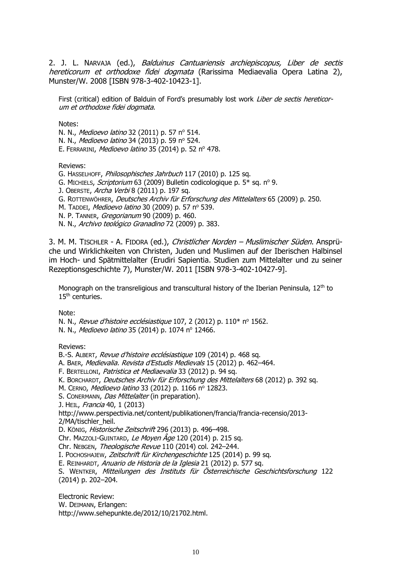2. J. L. NARVAJA (ed.), *Balduinus Cantuariensis archiepiscopus, Liber de sectis* hereticorum et orthodoxe fidei dogmata (Rarissima Mediaevalia Opera Latina 2), Munster/W. 2008 [ISBN 978-3-402-10423-1].

First (critical) edition of Balduin of Ford's presumably lost work *Liber de sectis hereticor*um et orthodoxe fidei dogmata.

Notes:

N. N., Medioevo latino 32 (2011) p. 57 nº 514. N. N., Medioevo latino 34 (2013) p. 59 nº 524. E. FERRARINI, Medioevo latino 35 (2014) p. 52 nº 478.

Reviews:

G. HASSELHOFF, Philosophisches Jahrbuch 117 (2010) p. 125 sq.

G. MICHIELS, Scriptorium 63 (2009) Bulletin codicologique p. 5\* sq. nº 9.

J. OBERSTE, Archa Verbi 8 (2011) p. 197 sq.

G. ROTTENWÖHRER, Deutsches Archiv für Erforschung des Mittelalters 65 (2009) p. 250.

M. TADDEI, Medioevo latino 30 (2009) p. 57 nº 539.

N. P. TANNER, Gregorianum 90 (2009) p. 460.

N. N., Archivo teológico Granadino 72 (2009) p. 383.

3. M. M. TISCHLER - A. FIDORA (ed.), *Christlicher Norden – Muslimischer Süden*. Ansprüche und Wirklichkeiten von Christen, Juden und Muslimen auf der Iberischen Halbinsel im Hoch- und Spätmittelalter (Erudiri Sapientia. Studien zum Mittelalter und zu seiner Rezeptionsgeschichte 7), Munster/W. 2011 [ISBN 978-3-402-10427-9].

Monograph on the transreligious and transcultural history of the Iberian Peninsula,  $12<sup>th</sup>$  to 15<sup>th</sup> centuries.

Note:

N. N., Revue d'histoire ecclésiastique 107, 2 (2012) p. 110\* nº 1562.

N. N., Medioevo latino 35 (2014) p. 1074 nº 12466.

Reviews:

B.-S. ALBERT, Revue d'histoire ecclésiastique 109 (2014) p. 468 sq.

A. BAER, Medievalia. Revista d'Estudis Medievals 15 (2012) p. 462–464.

F. BERTELLONI, Patristica et Mediaevalia 33 (2012) p. 94 sq.

K. BORCHARDT, Deutsches Archiv für Erforschung des Mittelalters 68 (2012) p. 392 sq.

M. CERNO, Medioevo latino 33 (2012) p. 1166 nº 12823.

S. CONERMANN, Das Mittelalter (in preparation).

J. HEIL, Francia 40, 1 (2013)

http://www.perspectivia.net/content/publikationen/francia/francia-recensio/2013- 2/MA/tischler\_heil.

D. KÖNIG, Historische Zeitschrift 296 (2013) p. 496–498.

Chr. MAZZOLI-GUINTARD, Le Moyen Âge 120 (2014) p. 215 sq.

Chr. NEBGEN, Theologische Revue 110 (2014) col. 242–244.

I. POCHOSHAJEW, Zeitschrift für Kirchengeschichte 125 (2014) p. 99 sq.

E. REINHARDT, Anuario de Historia de la Iglesia 21 (2012) p. 577 sq.

S. WENTKER, Mitteilungen des Instituts für Österreichische Geschichtsforschung 122 (2014) p. 202–204.

Electronic Review:

W. DEIMANN, Erlangen:

[http://www.sehepunkte.de/2012/10/21702.html.](http://www.sehepunkte.de/2012/10/21702.html)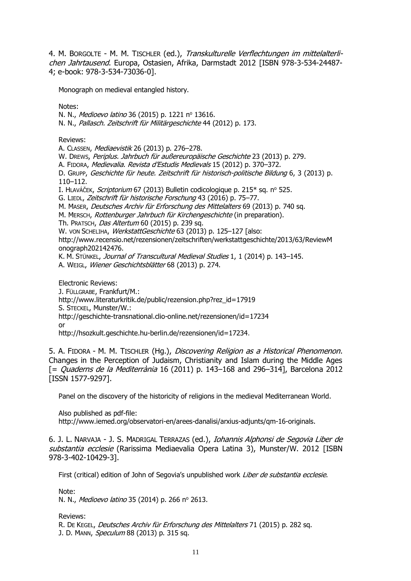4. M. BORGOLTE - M. M. TISCHLER (ed.), Transkulturelle Verflechtungen im mittelalterlichen Jahrtausend. Europa, Ostasien, Afrika, Darmstadt 2012 [ISBN 978-3-534-24487- 4; e-book: 978-3-534-73036-0].

Monograph on medieval entangled history.

Notes:

N. N., Medioevo latino 36 (2015) p. 1221 nº 13616.

N. N., Pallasch. Zeitschrift für Militärgeschichte 44 (2012) p. 173.

Reviews:

A. CLASSEN, Mediaevistik 26 (2013) p. 276–278.

W. DREWS, Periplus. Jahrbuch für außereuropäische Geschichte 23 (2013) p. 279.

A. FIDORA, Medievalia. Revista d'Estudis Medievals 15 (2012) p. 370–372.

D. GRUPP, Geschichte für heute. Zeitschrift für historisch-politische Bildung 6, 3 (2013) p. 110–112.

I. HLAVÁČEK, Scriptorium 67 (2013) Bulletin codicologique p. 215<sup>\*</sup> sq. nº 525.

G. LIEDL, Zeitschrift für historische Forschung 43 (2016) p. 75–77.

M. MASER, Deutsches Archiv für Erforschung des Mittelalters 69 (2013) p. 740 sq.

M. MERSCH, Rottenburger Jahrbuch für Kirchengeschichte (in preparation).

Th. PRATSCH, Das Altertum 60 (2015) p. 239 sq.

W. von SCHELIHA, WerkstattGeschichte 63 (2013) p. 125-127 [also:

[http://www.recensio.net/rezensionen/zeitschriften/werkstattgeschichte/2013/63/ReviewM](http://www.recensio.net/rezensionen/zeitschriften/werkstattgeschichte/2013/63/ReviewMonograph202142476) [onograph202142476.](http://www.recensio.net/rezensionen/zeitschriften/werkstattgeschichte/2013/63/ReviewMonograph202142476)

K. M. STÜNKEL, Journal of Transcultural Medieval Studies 1, 1 (2014) p. 143-145.

A. WEIGL, Wiener Geschichtsblätter 68 (2013) p. 274.

Electronic Reviews: J. FÜLLGRABE, Frankfurt/M.: [http://www.literaturkritik.de/public/rezension.php?rez\\_id=17919](http://www.literaturkritik.de/public/rezension.php?rez_id=17919) S. STECKEL, Munster/W.: <http://geschichte-transnational.clio-online.net/rezensionen/id=17234> or [http://hsozkult.geschichte.hu-berlin.de/rezensionen/id=17234.](http://hsozkult.geschichte.hu-berlin.de/rezensionen/id=17234)

5. A. FIDORA - M. M. TISCHLER (Hg.), Discovering Religion as a Historical Phenomenon. Changes in the Perception of Judaism, Christianity and Islam during the Middle Ages  $[$  = *Quaderns de la Mediterrània* 16 (2011) p. 143–168 and 296–314], Barcelona 2012 [ISSN 1577-9297].

Panel on the discovery of the historicity of religions in the medieval Mediterranean World.

Also published as pdf-file:

[http://www.iemed.org/observatori-en/arees-danalisi/arxius-adjunts/qm-16-originals.](http://www.iemed.org/observatori-en/arees-danalisi/arxius-adjunts/qm-16-originals)

6. J. L. NARVAJA - J. S. MADRIGAL TERRAZAS (ed.), Iohannis Alphonsi de Segovia Liber de substantia ecclesie (Rarissima Mediaevalia Opera Latina 3), Munster/W. 2012 [ISBN 978-3-402-10429-3].

First (critical) edition of John of Segovia's unpublished work Liber de substantia ecclesie.

Note:

N. N., Medioevo latino 35 (2014) p. 266 nº 2613.

Reviews:

R. DE KEGEL, Deutsches Archiv für Erforschung des Mittelalters 71 (2015) p. 282 sq. J. D. MANN, Speculum 88 (2013) p. 315 sq.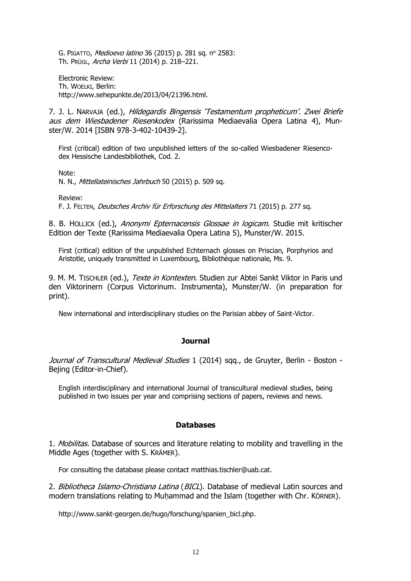G. PIGATTO, Medioevo latino 36 (2015) p. 281 sq. nº 2583: Th. PRÜGL, Archa Verbi 11 (2014) p. 218–221.

Electronic Review: Th. WOELKI, Berlin: [http://www.sehepunkte.de/2013/04/21396.html.](http://www.sehepunkte.de/2013/04/21396.html)

7. J. L. NARVAJA (ed.), Hildegardis Bingensis 'Testamentum propheticum'. Zwei Briefe aus dem Wiesbadener Riesenkodex (Rarissima Mediaevalia Opera Latina 4), Munster/W. 2014 [ISBN 978-3-402-10439-2].

First (critical) edition of two unpublished letters of the so-called Wiesbadener Riesencodex Hessische Landesbibliothek, Cod. 2.

Note:

N. N., Mittellateinisches Jahrbuch 50 (2015) p. 509 sq.

Review:

F. J. FELTEN, Deutsches Archiv für Erforschung des Mittelalters 71 (2015) p. 277 sq.

8. B. HOLLICK (ed.), Anonymi Epternacensis Glossae in logicam. Studie mit kritischer Edition der Texte (Rarissima Mediaevalia Opera Latina 5), Munster/W. 2015.

First (critical) edition of the unpublished Echternach glosses on Priscian, Porphyrios and Aristotle, uniquely transmitted in Luxembourg, Bibliothèque nationale, Ms. 9.

9. M. M. TISCHLER (ed.), Texte in Kontexten. Studien zur Abtei Sankt Viktor in Paris und den Viktorinern (Corpus Victorinum. Instrumenta), Munster/W. (in preparation for print).

New international and interdisciplinary studies on the Parisian abbey of Saint-Victor.

#### **Journal**

Journal of Transcultural Medieval Studies 1 (2014) sqq., de Gruyter, Berlin - Boston -Bejing (Editor-in-Chief).

English interdisciplinary and international Journal of transcultural medieval studies, being published in two issues per year and comprising sections of papers, reviews and news.

#### **Databases**

1. Mobilitas. Database of sources and literature relating to mobility and travelling in the Middle Ages (together with S. KRÄMER).

For consulting the database please contact [matthias.tischler@uab.cat.](mailto:matthias.tischler@uab.cat)

2. Bibliotheca Islamo-Christiana Latina (BICL). Database of medieval Latin sources and modern translations relating to Muḥammad and the Islam (together with Chr. KÖRNER).

[http://www.sankt-georgen.de/hugo/forschung/spanien\\_bicl.php.](http://www.sankt-georgen.de/hugo/forschung/spanien_bicl.php)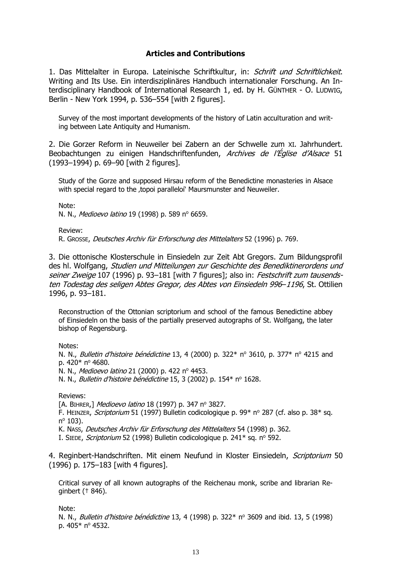# **Articles and Contributions**

1. Das Mittelalter in Europa. Lateinische Schriftkultur, in: Schrift und Schriftlichkeit. Writing and Its Use. Ein interdisziplinäres Handbuch internationaler Forschung. An Interdisciplinary Handbook of International Research 1, ed. by H. GÜNTHER - O. LUDWIG, Berlin - New York 1994, p. 536–554 [with 2 figures].

Survey of the most important developments of the history of Latin acculturation and writing between Late Antiquity and Humanism.

2. Die Gorzer Reform in Neuweiler bei Zabern an der Schwelle zum XI. Jahrhundert. Beobachtungen zu einigen Handschriftenfunden, Archives de l'Église d'Alsace 51 (1993–1994) p. 69–90 [with 2 figures].

Study of the Gorze and supposed Hirsau reform of the Benedictine monasteries in Alsace with special regard to the , topoi paralleloi' Maursmunster and Neuweiler.

Note:

N. N., Medioevo latino 19 (1998) p. 589 nº 6659.

Review:

R. GROSSE, Deutsches Archiv für Erforschung des Mittelalters 52 (1996) p. 769.

3. Die ottonische Klosterschule in Einsiedeln zur Zeit Abt Gregors. Zum Bildungsprofil des hl. Wolfgang, Studien und Mitteilungen zur Geschichte des Benediktinerordens und seiner Zweige 107 (1996) p. 93-181 [with 7 figures]; also in: Festschrift zum tausendsten Todestag des seligen Abtes Gregor, des Abtes von Einsiedeln 996–1196, St. Ottilien 1996, p. 93–181.

Reconstruction of the Ottonian scriptorium and school of the famous Benedictine abbey of Einsiedeln on the basis of the partially preserved autographs of St. Wolfgang, the later bishop of Regensburg.

Notes:

N. N., Bulletin d'histoire bénédictine 13, 4 (2000) p. 322\* nº 3610, p. 377\* nº 4215 and p.  $420*$  n°  $4680.$ 

N. N., Medioevo latino 21 (2000) p. 422 nº 4453.

N. N., *Bulletin d'histoire bénédictine* 15, 3 (2002) p. 154\* nº 1628.

Reviews:

[A. BIHRER,] Medioevo latino 18 (1997) p. 347 nº 3827.

F. HEINZER, *Scriptorium* 51 (1997) Bulletin codicologique p. 99\* n° 287 (cf. also p. 38\* sq. n<sup>o</sup> 103).

K. NASS, Deutsches Archiv für Erforschung des Mittelalters 54 (1998) p. 362.

I. SIEDE, Scriptorium 52 (1998) Bulletin codicologique p. 241\* sq. nº 592.

4. Reginbert-Handschriften. Mit einem Neufund in Kloster Einsiedeln, *Scriptorium* 50 (1996) p. 175–183 [with 4 figures].

Critical survey of all known autographs of the Reichenau monk, scribe and librarian Reginbert († 846).

Note:

N. N., Bulletin d'histoire bénédictine 13, 4 (1998) p. 322\* n° 3609 and ibid. 13, 5 (1998) p. 405\* nº 4532.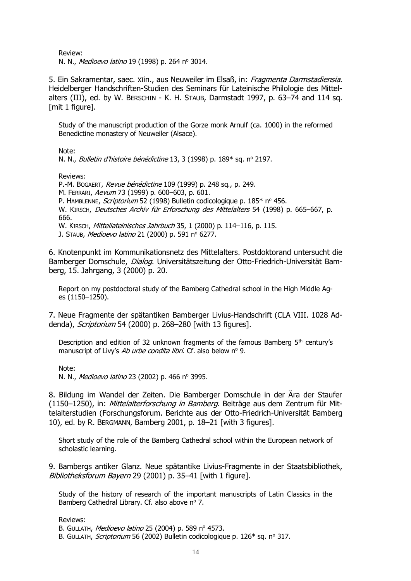Review:

N. N., Medioevo latino 19 (1998) p. 264 nº 3014.

5. Ein Sakramentar, saec. XIin., aus Neuweiler im Elsaß, in: Fragmenta Darmstadiensia. Heidelberger Handschriften-Studien des Seminars für Lateinische Philologie des Mittelalters (III), ed. by W. BERSCHIN - K. H. STAUB, Darmstadt 1997, p. 63–74 and 114 sq. [mit 1 figure].

Study of the manuscript production of the Gorze monk Arnulf (ca. 1000) in the reformed Benedictine monastery of Neuweiler (Alsace).

Note:

N. N., Bulletin d'histoire bénédictine 13, 3 (1998) p. 189\* sq. nº 2197.

Reviews:

P.-M. BOGAERT, Revue bénédictine 109 (1999) p. 248 sq., p. 249. M. FERRARI, Aevum 73 (1999) p. 600–603, p. 601. P. HAMBLENNE, Scriptorium 52 (1998) Bulletin codicologique p. 185\* nº 456. W. KIRSCH, Deutsches Archiv für Erforschung des Mittelalters 54 (1998) p. 665–667, p. 666. W. KIRSCH, Mittellateinisches Jahrbuch 35, 1 (2000) p. 114–116, p. 115.

J. Staub, *Medioevo latino* 21 (2000) p. 591 nº 6277.

6. Knotenpunkt im Kommunikationsnetz des Mittelalters. Postdoktorand untersucht die Bamberger Domschule, Dialog. Universitätszeitung der Otto-Friedrich-Universität Bamberg, 15. Jahrgang, 3 (2000) p. 20.

Report on my postdoctoral study of the Bamberg Cathedral school in the High Middle Ages (1150–1250).

7. Neue Fragmente der spätantiken Bamberger Livius-Handschrift (CLA VIII. 1028 Addenda), Scriptorium 54 (2000) p. 268–280 [with 13 figures].

Description and edition of 32 unknown fragments of the famous Bamberg  $5<sup>th</sup>$  century's manuscript of Livy's Ab urbe condita libri. Cf. also below nº 9.

Note<sup>.</sup>

N. N., Medioevo latino 23 (2002) p. 466 nº 3995.

8. Bildung im Wandel der Zeiten. Die Bamberger Domschule in der Ära der Staufer (1150–1250), in: Mittelalterforschung in Bamberg. Beiträge aus dem Zentrum für Mittelalterstudien (Forschungsforum. Berichte aus der Otto-Friedrich-Universität Bamberg 10), ed. by R. BERGMANN, Bamberg 2001, p. 18–21 [with 3 figures].

Short study of the role of the Bamberg Cathedral school within the European network of scholastic learning.

9. Bambergs antiker Glanz. Neue spätantike Livius-Fragmente in der Staatsbibliothek, Bibliotheksforum Bayern 29 (2001) p. 35-41 [with 1 figure].

Study of the history of research of the important manuscripts of Latin Classics in the Bamberg Cathedral Library. Cf. also above nº 7.

Reviews:

B. GULLATH, Medioevo latino 25 (2004) p. 589 nº 4573.

B. GULLATH, Scriptorium 56 (2002) Bulletin codicologique p. 126\* sq. nº 317.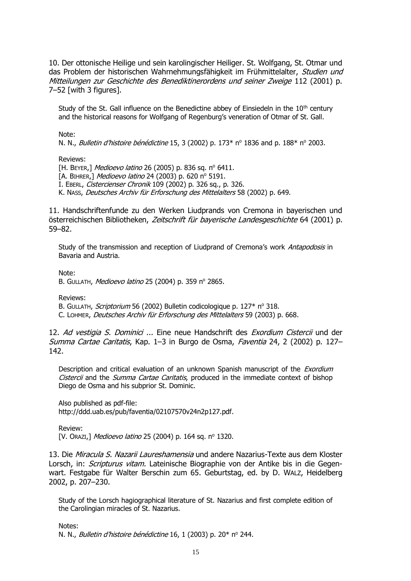10. Der ottonische Heilige und sein karolingischer Heiliger. St. Wolfgang, St. Otmar und das Problem der historischen Wahrnehmungsfähigkeit im Frühmittelalter, Studien und Mitteilungen zur Geschichte des Benediktinerordens und seiner Zweige 112 (2001) p. 7–52 [with 3 figures].

Study of the St. Gall influence on the Benedictine abbey of Einsiedeln in the  $10<sup>th</sup>$  century and the historical reasons for Wolfgang of Regenburg's veneration of Otmar of St. Gall.

Note:

N. N., Bulletin d'histoire bénédictine 15, 3 (2002) p. 173\*  $n^{\circ}$  1836 and p. 188\*  $n^{\circ}$  2003.

Reviews:

[H. BEYER,] Medioevo latino 26 (2005) p. 836 sq. nº 6411. [A. BIHRER,] Medioevo latino 24 (2003) p. 620 nº 5191. I. EBERL, Cistercienser Chronik 109 (2002) p. 326 sq., p. 326. K. NASS, Deutsches Archiv für Erforschung des Mittelalters 58 (2002) p. 649.

11. Handschriftenfunde zu den Werken Liudprands von Cremona in bayerischen und österreichischen Bibliotheken, Zeitschrift für bayerische Landesgeschichte 64 (2001) p. 59–82.

Study of the transmission and reception of Liudprand of Cremona's work Antapodosis in Bavaria and Austria.

Note:

B. GULLATH, Medioevo latino 25 (2004) p. 359 nº 2865.

Reviews:

B. GULLATH, Scriptorium 56 (2002) Bulletin codicologique p. 127\* nº 318.

C. LOHMER, Deutsches Archiv für Erforschung des Mittelalters 59 (2003) p. 668.

12. Ad vestigia S. Dominici ... Eine neue Handschrift des Exordium Cistercii und der Summa Cartae Caritatis, Kap. 1–3 in Burgo de Osma, Faventia 24, 2 (2002) p. 127– 142.

Description and critical evaluation of an unknown Spanish manuscript of the *Exordium* Cistercii and the Summa Cartae Caritatis, produced in the immediate context of bishop Diego de Osma and his subprior St. Dominic.

Also published as pdf-file: [http://ddd.uab.es/pub/faventia/02107570v24n2p127.pdf.](http://www.bib.uab.es/pub/faventia/02107570v24n2p127.pdf)

Review:

[V. Orazi,] Medioevo latino 25 (2004) p. 164 sq. nº 1320.

13. Die Miracula S. Nazarii Laureshamensia und andere Nazarius-Texte aus dem Kloster Lorsch, in: *Scripturus vitam*. Lateinische Biographie von der Antike bis in die Gegenwart. Festgabe für Walter Berschin zum 65. Geburtstag, ed. by D. WALZ, Heidelberg 2002, p. 207–230.

Study of the Lorsch hagiographical literature of St. Nazarius and first complete edition of the Carolingian miracles of St. Nazarius.

Notes<sup>.</sup> N. N., Bulletin d'histoire bénédictine 16, 1 (2003) p. 20\* nº 244.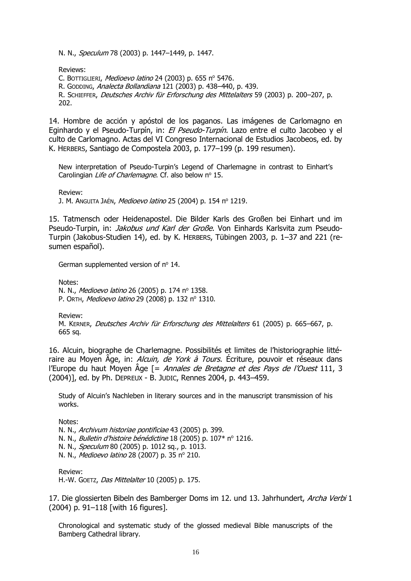N. N., *Speculum* 78 (2003) p. 1447–1449, p. 1447.

Reviews:

C. BOTTIGLIERI, Medioevo latino 24 (2003) p. 655 nº 5476.

R. GODDING, Analecta Bollandiana 121 (2003) p. 438–440, p. 439.

R. SCHIEFFER, Deutsches Archiv für Erforschung des Mittelalters 59 (2003) p. 200–207, p. 202.

14. Hombre de acción y apóstol de los paganos. Las imágenes de Carlomagno en Eginhardo y el Pseudo-Turpín, in: El Pseudo-Turpín. Lazo entre el culto Jacobeo y el culto de Carlomagno. Actas del VI Congreso Internacional de Estudios Jacobeos, ed. by K. HERBERS, Santiago de Compostela 2003, p. 177–199 (p. 199 resumen).

New interpretation of Pseudo-Turpin's Legend of Charlemagne in contrast to Einhart's Carolingian Life of Charlemagne. Cf. also below nº 15.

Review:

J. M. ANGUITA JAÉN, Medioevo latino 25 (2004) p. 154 nº 1219.

15. Tatmensch oder Heidenapostel. Die Bilder Karls des Großen bei Einhart und im Pseudo-Turpin, in: *Jakobus und Karl der Große*. Von Einhards Karlsvita zum Pseudo-Turpin (Jakobus-Studien 14), ed. by K. HERBERS, Tübingen 2003, p. 1–37 and 221 (resumen español).

German supplemented version of  $n^{\circ}$  14.

Notes: N. N., Medioevo latino 26 (2005) p. 174 nº 1358. P. ORTH, Medioevo latino 29 (2008) p. 132 nº 1310.

Review:

M. KERNER, Deutsches Archiv für Erforschung des Mittelalters 61 (2005) p. 665–667, p. 665 sq.

16. Alcuin, biographe de Charlemagne. Possibilités et limites de l'historiographie littéraire au Moyen Âge, in: Alcuin, de York à Tours. Écriture, pouvoir et réseaux dans l'Europe du haut Moyen  $\rm{Age}$  [= Annales de Bretagne et des Pays de l'Ouest 111, 3 (2004)], ed. by Ph. DEPREUX - B. JUDIC, Rennes 2004, p. 443–459.

Study of Alcuin's Nachleben in literary sources and in the manuscript transmission of his works.

Notes:

N. N., Archivum historiae pontificiae 43 (2005) p. 399.

N. N., Bulletin d'histoire bénédictine 18 (2005) p. 107\* nº 1216.

N. N., Speculum 80 (2005) p. 1012 sq., p. 1013.

N. N., Medioevo latino 28 (2007) p. 35 nº 210.

Review: H.-W. GOETZ, Das Mittelalter 10 (2005) p. 175.

17. Die glossierten Bibeln des Bamberger Doms im 12. und 13. Jahrhundert, Archa Verbi 1 (2004) p. 91–118 [with 16 figures].

Chronological and systematic study of the glossed medieval Bible manuscripts of the Bamberg Cathedral library.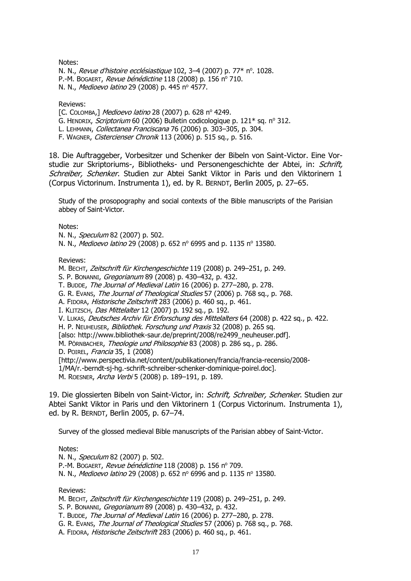Notes:

N. N., Revue d'histoire ecclésiastique 102, 3–4 (2007) p. 77\* nº. 1028. P.-M. BOGAERT, Revue bénédictine 118 (2008) p. 156 nº 710. N. N., Medioevo latino 29 (2008) p. 445 nº 4577.

Reviews:

[C. COLOMBA,] Medioevo latino 28 (2007) p. 628 nº 4249.

G. HENDRIX, *Scriptorium* 60 (2006) Bulletin codicologique p.  $121*$  sq. n<sup>o</sup> 312.

L. LEHMANN, Collectanea Franciscana 76 (2006) p. 303–305, p. 304.

F. WAGNER, Cistercienser Chronik 113 (2006) p. 515 sq., p. 516.

18. Die Auftraggeber, Vorbesitzer und Schenker der Bibeln von Saint-Victor. Eine Vorstudie zur Skriptoriums-, Bibliotheks- und Personengeschichte der Abtei, in: Schrift, Schreiber, Schenker. Studien zur Abtei Sankt Viktor in Paris und den Viktorinern 1 (Corpus Victorinum. Instrumenta 1), ed. by R. BERNDT, Berlin 2005, p. 27–65.

Study of the prosopography and social contexts of the Bible manuscripts of the Parisian abbey of Saint-Victor.

Notes:

N. N., *Speculum* 82 (2007) p. 502.

N. N., *Medioevo latino* 29 (2008) p. 652 n<sup>o</sup> 6995 and p. 1135 n<sup>o</sup> 13580.

Reviews:

M. BECHT, Zeitschrift für Kirchengeschichte 119 (2008) p. 249–251, p. 249.

S. P. BONANNI, Gregorianum 89 (2008) p. 430–432, p. 432.

T. BUDDE, The Journal of Medieval Latin 16 (2006) p. 277–280, p. 278.

G. R. EVANS, The Journal of Theological Studies 57 (2006) p. 768 sq., p. 768.

A. FIDORA, Historische Zeitschrift 283 (2006) p. 460 sq., p. 461.

I. KLITZSCH, Das Mittelalter 12 (2007) p. 192 sq., p. 192.

V. Lukas, Deutsches Archiv für Erforschung des Mittelalters 64 (2008) p. 422 sq., p. 422.

H. P. NEUHEUSER, *Bibliothek. Forschung und Praxis* 32 (2008) p. 265 sq.

[also: [http://www.bibliothek-saur.de/preprint/2008/re2499\\_neuheuser.pdf\]](http://www.bibliothek-saur.de/preprint/2008/re2499_neuheuser.pdf).

M. PÖRNBACHER, Theologie und Philosophie 83 (2008) p. 286 sq., p. 286.

D. POIREL, Francia 35, 1 (2008)

[http://www.perspectivia.net/content/publikationen/francia/francia-recensio/2008-

1/MA/r.-berndt-sj-hg.-schrift-schreiber-schenker-dominique-poirel.doc].

M. ROESNER, Archa Verbi 5 (2008) p. 189–191, p. 189.

19. Die glossierten Bibeln von Saint-Victor, in: Schrift, Schreiber, Schenker. Studien zur Abtei Sankt Viktor in Paris und den Viktorinern 1 (Corpus Victorinum. Instrumenta 1), ed. by R. BERNDT, Berlin 2005, p. 67–74.

Survey of the glossed medieval Bible manuscripts of the Parisian abbey of Saint-Victor.

Notes:

N. N., Speculum 82 (2007) p. 502. P.-M. BOGAERT, Revue bénédictine 118 (2008) p. 156 nº 709. N. N., *Medioevo latino* 29 (2008) p. 652 n<sup>o</sup> 6996 and p. 1135 n<sup>o</sup> 13580.

Reviews:

M. BECHT, Zeitschrift für Kirchengeschichte 119 (2008) p. 249–251, p. 249.

S. P. BONANNI, Gregorianum 89 (2008) p. 430–432, p. 432.

T. BUDDE, The Journal of Medieval Latin 16 (2006) p. 277–280, p. 278.

G. R. EVANS, The Journal of Theological Studies 57 (2006) p. 768 sq., p. 768.

A. FIDORA, Historische Zeitschrift 283 (2006) p. 460 sq., p. 461.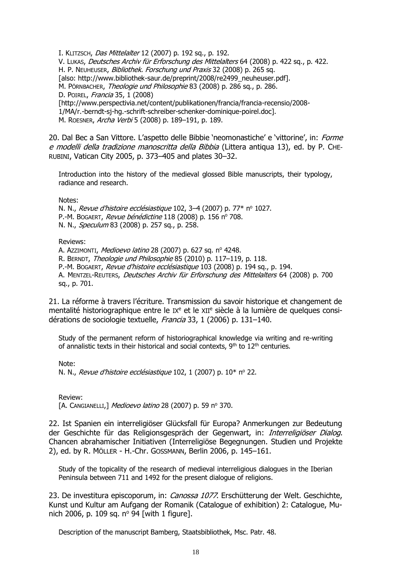I. KLITZSCH, Das Mittelalter 12 (2007) p. 192 sq., p. 192. V. LUKAS, Deutsches Archiv für Erforschung des Mittelalters 64 (2008) p. 422 sq., p. 422. H. P. NEUHEUSER, Bibliothek. Forschung und Praxis 32 (2008) p. 265 sq. [also: [http://www.bibliothek-saur.de/preprint/2008/re2499\\_neuheuser.pdf\]](http://www.bibliothek-saur.de/preprint/2008/re2499_neuheuser.pdf). M. PÖRNBACHER, Theologie und Philosophie 83 (2008) p. 286 sq., p. 286. D. POIREL, Francia 35, 1 (2008) [http://www.perspectivia.net/content/publikationen/francia/francia-recensio/2008- 1/MA/r.-berndt-sj-hg.-schrift-schreiber-schenker-dominique-poirel.doc]. M. ROESNER, Archa Verbi 5 (2008) p. 189–191, p. 189.

20. Dal Bec a San Vittore. L'aspetto delle Bibbie 'neomonastiche' e 'vittorine', in: Forme e modelli della tradizione manoscritta della Bibbia (Littera antiqua 13), ed. by P. CHE-RUBINI, Vatican City 2005, p. 373–405 and plates 30–32.

Introduction into the history of the medieval glossed Bible manuscripts, their typology, radiance and research.

Notes:

N. N., Revue d'histoire ecclésiastique 102, 3-4 (2007) p. 77\* nº 1027. P.-M. BOGAERT, Revue bénédictine 118 (2008) p. 156 nº 708. N. N., Speculum 83 (2008) p. 257 sq., p. 258.

Reviews:

A. AzzIMONTI, Medioevo latino 28 (2007) p. 627 sq. nº 4248.

R. BERNDT, Theologie und Philosophie 85 (2010) p. 117–119, p. 118.

P.-M. BOGAERT, Revue d'histoire ecclésiastique 103 (2008) p. 194 sq., p. 194.

A. MENTZEL-REUTERS, Deutsches Archiv für Erforschung des Mittelalters 64 (2008) p. 700 sq., p. 701.

21. La réforme à travers l'écriture. Transmission du savoir historique et changement de mentalité historiographique entre le IX<sup>e</sup> et le XII<sup>e</sup> siècle à la lumière de quelques considérations de sociologie textuelle, Francia 33, 1 (2006) p. 131-140.

Study of the permanent reform of historiographical knowledge via writing and re-writing of annalistic texts in their historical and social contexts,  $9<sup>th</sup>$  to  $12<sup>th</sup>$  centuries.

Note: N. N., Revue d'histoire ecclésiastique 102, 1 (2007) p.  $10^*$  n° 22.

Review: [A. CANGIANELLI,] Medioevo latino 28 (2007) p. 59 nº 370.

22. Ist Spanien ein interreligiöser Glücksfall für Europa? Anmerkungen zur Bedeutung der Geschichte für das Religionsgespräch der Gegenwart, in: Interreligiöser Dialog. Chancen abrahamischer Initiativen (Interreligiöse Begegnungen. Studien und Projekte 2), ed. by R. MÖLLER - H.-Chr. GOSSMANN, Berlin 2006, p. 145–161.

Study of the topicality of the research of medieval interreligious dialogues in the Iberian Peninsula between 711 and 1492 for the present dialogue of religions.

23. De investitura episcoporum, in: *Canossa 1077*. Erschütterung der Welt. Geschichte, Kunst und Kultur am Aufgang der Romanik (Catalogue of exhibition) 2: Catalogue, Munich 2006, p. 109 sq.  $n^{\circ}$  94 [with 1 figure].

Description of the manuscript Bamberg, Staatsbibliothek, Msc. Patr. 48.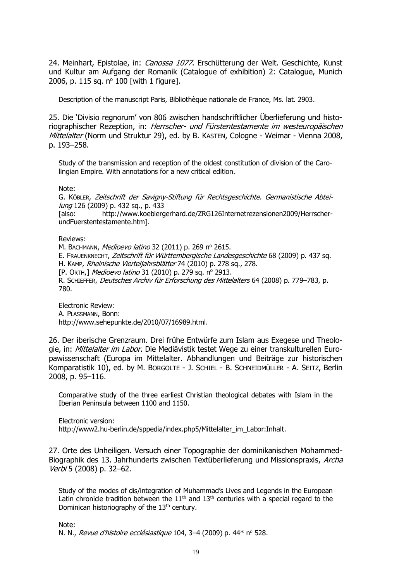24. Meinhart, Epistolae, in: Canossa 1077. Erschütterung der Welt. Geschichte, Kunst und Kultur am Aufgang der Romanik (Catalogue of exhibition) 2: Catalogue, Munich 2006, p. 115 sq.  $n^{\circ}$  100 [with 1 figure].

Description of the manuscript Paris, Bibliothèque nationale de France, Ms. lat. 2903.

25. Die 'Divisio regnorum' von 806 zwischen handschriftlicher Überlieferung und historiographischer Rezeption, in: Herrscher- und Fürstentestamente im westeuropäischen Mittelalter (Norm und Struktur 29), ed. by B. KASTEN, Cologne - Weimar - Vienna 2008, p. 193–258.

Study of the transmission and reception of the oldest constitution of division of the Carolingian Empire. With annotations for a new critical edition.

Note:

G. KÖBLER, Zeitschrift der Savigny-Stiftung für Rechtsgeschichte. Germanistische Abteilung 126 (2009) p. 432 sq., p. 433

[also: [http://www.koeblergerhard.de/ZRG126Internetrezensionen2009/Herrscher](http://www.koeblergerhard.de/ZRG126Internetrezensionen2009/Herrscher-undFuerstentestamente.htm)[undFuerstentestamente.htm\]](http://www.koeblergerhard.de/ZRG126Internetrezensionen2009/Herrscher-undFuerstentestamente.htm).

Reviews:

M. BACHMANN, Medioevo latino 32 (2011) p. 269 nº 2615.

E. FRAUENKNECHT, Zeitschrift für Württembergische Landesgeschichte 68 (2009) p. 437 sq.

H. KAMP, Rheinische Vierteljahrsblätter 74 (2010) p. 278 sq., 278.

[P. ORTH,] Medioevo latino 31 (2010) p. 279 sq. nº 2913.

R. SCHIEFFER, Deutsches Archiv für Erforschung des Mittelalters 64 (2008) p. 779–783, p. 780.

Electronic Review: A. PLASSMANN, Bonn: [http://www.sehepunkte.de/2010/07/16989.html.](http://www.sehepunkte.de/2010/07/16989.html)

26. Der iberische Grenzraum. Drei frühe Entwürfe zum Islam aus Exegese und Theologie, in: Mittelalter im Labor. Die Mediävistik testet Wege zu einer transkulturellen Europawissenschaft (Europa im Mittelalter. Abhandlungen und Beiträge zur historischen Komparatistik 10), ed. by M. BORGOLTE - J. SCHIEL - B. SCHNEIDMÜLLER - A. SEITZ, Berlin 2008, p. 95–116.

Comparative study of the three earliest Christian theological debates with Islam in the Iberian Peninsula between 1100 and 1150.

Electronic version: http://www2.hu-berlin.de/sppedia/index.php5/Mittelalter\_im\_Labor:Inhalt.

27. Orte des Unheiligen. Versuch einer Topographie der dominikanischen Mohammed-Biographik des 13. Jahrhunderts zwischen Textüberlieferung und Missionspraxis, Archa Verbi 5 (2008) p. 32–62.

Study of the modes of dis/integration of Muhammad's Lives and Legends in the European Latin chronicle tradition between the  $11<sup>th</sup>$  and  $13<sup>th</sup>$  centuries with a special regard to the Dominican historiography of the 13<sup>th</sup> century.

Note: N. N., Revue d'histoire ecclésiastique 104, 3-4 (2009) p. 44\* nº 528.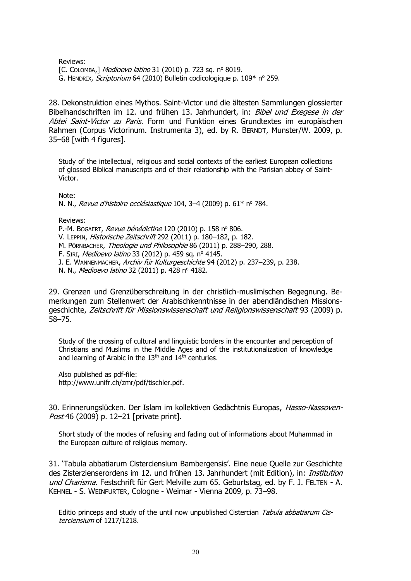Reviews:

[C. COLOMBA,] Medioevo latino 31 (2010) p. 723 sq. nº 8019. G. HENDRIX, Scriptorium 64 (2010) Bulletin codicologique p. 109\* nº 259.

28. Dekonstruktion eines Mythos. Saint-Victor und die ältesten Sammlungen glossierter Bibelhandschriften im 12. und frühen 13. Jahrhundert, in: Bibel und Exegese in der Abtei Saint-Victor zu Paris. Form und Funktion eines Grundtextes im europäischen Rahmen (Corpus Victorinum. Instrumenta 3), ed. by R. BERNDT, Munster/W. 2009, p. 35–68 [with 4 figures].

Study of the intellectual, religious and social contexts of the earliest European collections of glossed Biblical manuscripts and of their relationship with the Parisian abbey of Saint-Victor.

Note:

N. N., Revue d'histoire ecclésiastique 104, 3-4 (2009) p. 61\* nº 784.

Reviews:

P.-M. BOGAERT, Revue bénédictine 120 (2010) p. 158 nº 806.

V. LEPPIN, Historische Zeitschrift 292 (2011) p. 180–182, p. 182.

M. PÖRNBACHER, Theologie und Philosophie 86 (2011) p. 288–290, 288.

F. SIRI, Medioevo latino 33 (2012) p. 459 sq. nº 4145.

J. E. WANNENMACHER, Archiv für Kulturgeschichte 94 (2012) p. 237-239, p. 238.

N. N., Medioevo latino 32 (2011) p. 428 nº 4182.

29. Grenzen und Grenzüberschreitung in der christlich-muslimischen Begegnung. Bemerkungen zum Stellenwert der Arabischkenntnisse in der abendländischen Missionsgeschichte, Zeitschrift für Missionswissenschaft und Religionswissenschaft 93 (2009) p. 58–75.

Study of the crossing of cultural and linguistic borders in the encounter and perception of Christians and Muslims in the Middle Ages and of the institutionalization of knowledge and learning of Arabic in the  $13<sup>th</sup>$  and  $14<sup>th</sup>$  centuries.

Also published as pdf-file: [http://www.unifr.ch/zmr/pdf/tischler.pdf.](http://www.unifr.ch/zmr/pdf/tischler.pdf)

30. Erinnerungslücken. Der Islam im kollektiven Gedächtnis Europas, Hasso-Nassoven-Post 46 (2009) p. 12-21 [private print].

Short study of the modes of refusing and fading out of informations about Muhammad in the European culture of religious memory.

31. 'Tabula abbatiarum Cisterciensium Bambergensis'. Eine neue Quelle zur Geschichte des Zisterzienserordens im 12. und frühen 13. Jahrhundert (mit Edition), in: *Institution* und Charisma. Festschrift für Gert Melville zum 65. Geburtstag, ed. by F. J. FELTEN - A. KEHNEL - S. WEINFURTER, Cologne - Weimar - Vienna 2009, p. 73–98.

Editio princeps and study of the until now unpublished Cistercian Tabula abbatiarum Cisterciensium of 1217/1218.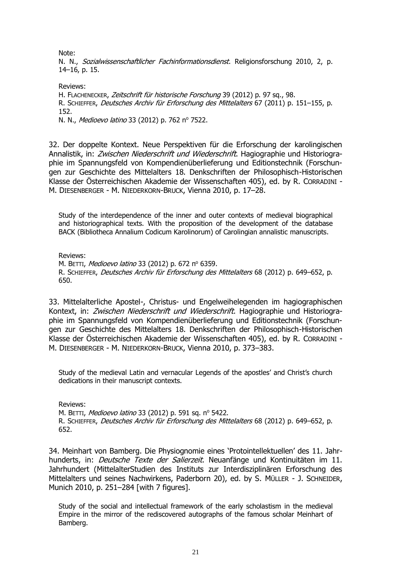Note:

N. N., Sozialwissenschaftlicher Fachinformationsdienst. Religionsforschung 2010, 2, p. 14–16, p. 15.

Reviews: H. FLACHENECKER, Zeitschrift für historische Forschung 39 (2012) p. 97 sq., 98. R. SCHIEFFER, Deutsches Archiv für Erforschung des Mittelalters 67 (2011) p. 151–155, p. 152. N. N., Medioevo latino 33 (2012) p. 762 nº 7522.

32. Der doppelte Kontext. Neue Perspektiven für die Erforschung der karolingischen Annalistik, in: Zwischen Niederschrift und Wiederschrift. Hagiographie und Historiographie im Spannungsfeld von Kompendienüberlieferung und Editionstechnik (Forschungen zur Geschichte des Mittelalters 18. Denkschriften der Philosophisch-Historischen Klasse der Österreichischen Akademie der Wissenschaften 405), ed. by R. CORRADINI - M. DIESENBERGER - M. NIEDERKORN-BRUCK, Vienna 2010, p. 17–28.

Study of the interdependence of the inner and outer contexts of medieval biographical and historiographical texts. With the proposition of the development of the database BACK (Bibliotheca Annalium Codicum Karolinorum) of Carolingian annalistic manuscripts.

Reviews:

M. BETTI, Medioevo latino 33 (2012) p. 672 nº 6359. R. SCHIEFFER, Deutsches Archiv für Erforschung des Mittelalters 68 (2012) p. 649-652, p. 650.

33. Mittelalterliche Apostel-, Christus- und Engelweihelegenden im hagiographischen Kontext, in: Zwischen Niederschrift und Wiederschrift. Hagiographie und Historiographie im Spannungsfeld von Kompendienüberlieferung und Editionstechnik (Forschungen zur Geschichte des Mittelalters 18. Denkschriften der Philosophisch-Historischen Klasse der Österreichischen Akademie der Wissenschaften 405), ed. by R. CORRADINI - M. DIESENBERGER - M. NIEDERKORN-BRUCK, Vienna 2010, p. 373–383.

Study of the medieval Latin and vernacular Legends of the apostles' and Christ's church dedications in their manuscript contexts.

Reviews:

M. BETTI, Medioevo latino 33 (2012) p. 591 sq. nº 5422. R. SCHIEFFER, Deutsches Archiv für Erforschung des Mittelalters 68 (2012) p. 649–652, p. 652.

34. Meinhart von Bamberg. Die Physiognomie eines 'Protointellektuellen' des 11. Jahrhunderts, in: *Deutsche Texte der Salierzeit*. Neuanfänge und Kontinuitäten im 11. Jahrhundert (MittelalterStudien des Instituts zur Interdisziplinären Erforschung des Mittelalters und seines Nachwirkens, Paderborn 20), ed. by S. MÜLLER - J. SCHNEIDER, Munich 2010, p. 251–284 [with 7 figures].

Study of the social and intellectual framework of the early scholastism in the medieval Empire in the mirror of the rediscovered autographs of the famous scholar Meinhart of Bamberg.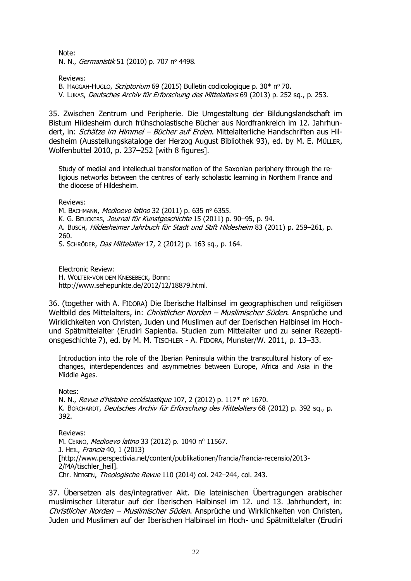Note: N. N., *Germanistik* 51 (2010) p. 707 nº 4498.

Reviews: B. HAGGAH-HUGLO, Scriptorium 69 (2015) Bulletin codicologique p. 30\* nº 70. V. LUKAS, Deutsches Archiv für Erforschung des Mittelalters 69 (2013) p. 252 sq., p. 253.

35. Zwischen Zentrum und Peripherie. Die Umgestaltung der Bildungslandschaft im Bistum Hildesheim durch frühscholastische Bücher aus Nordfrankreich im 12. Jahrhundert, in: Schätze im Himmel - Bücher auf Erden. Mittelalterliche Handschriften aus Hildesheim (Ausstellungskataloge der Herzog August Bibliothek 93), ed. by M. E. MÜLLER, Wolfenbuttel 2010, p. 237–252 [with 8 figures].

Study of medial and intellectual transformation of the Saxonian periphery through the religious networks between the centres of early scholastic learning in Northern France and the diocese of Hildesheim.

Reviews:

M. BACHMANN, Medioevo latino 32 (2011) p. 635 nº 6355. K. G. BEUCKERS, Journal für Kunstgeschichte 15 (2011) p. 90-95, p. 94. A. BUSCH, Hildesheimer Jahrbuch für Stadt und Stift Hildesheim 83 (2011) p. 259–261, p. 260. S. SCHRÖDER, Das Mittelalter 17, 2 (2012) p. 163 sq., p. 164.

Electronic Review: H. WOLTER-VON DEM KNESEBECK, Bonn: [http://www.sehepunkte.de/2012/12/18879.html.](http://www.sehepunkte.de/2012/12/18879.html)

36. (together with A. FIDORA) Die Iberische Halbinsel im geographischen und religiösen Weltbild des Mittelalters, in: Christlicher Norden - Muslimischer Süden. Ansprüche und Wirklichkeiten von Christen, Juden und Muslimen auf der Iberischen Halbinsel im Hochund Spätmittelalter (Erudiri Sapientia. Studien zum Mittelalter und zu seiner Rezeptionsgeschichte 7), ed. by M. M. TISCHLER - A. FIDORA, Munster/W. 2011, p. 13–33.

Introduction into the role of the Iberian Peninsula within the transcultural history of exchanges, interdependences and asymmetries between Europe, Africa and Asia in the Middle Ages.

Notes:

N. N., *Revue d'histoire ecclésiastique* 107, 2 (2012) p. 117\* nº 1670. K. BORCHARDT, Deutsches Archiv für Erforschung des Mittelalters 68 (2012) p. 392 sq., p. 392.

Reviews:

M. CERNO, Medioevo latino 33 (2012) p. 1040 nº 11567. J. HEIL, *Francia* 40, 1 (2013) [http://www.perspectivia.net/content/publikationen/francia/francia-recensio/2013- 2/MA/tischler\_heil]. Chr. NEBGEN, Theologische Revue 110 (2014) col. 242–244, col. 243.

37. Übersetzen als des/integrativer Akt. Die lateinischen Übertragungen arabischer muslimischer Literatur auf der Iberischen Halbinsel im 12. und 13. Jahrhundert, in: Christlicher Norden – Muslimischer Süden. Ansprüche und Wirklichkeiten von Christen, Juden und Muslimen auf der Iberischen Halbinsel im Hoch- und Spätmittelalter (Erudiri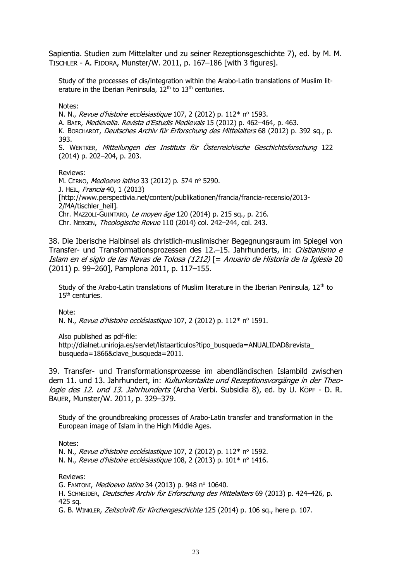Sapientia. Studien zum Mittelalter und zu seiner Rezeptionsgeschichte 7), ed. by M. M. TISCHLER - A. FIDORA, Munster/W. 2011, p. 167–186 [with 3 figures].

Study of the processes of dis/integration within the Arabo-Latin translations of Muslim literature in the Iberian Peninsula,  $12<sup>th</sup>$  to  $13<sup>th</sup>$  centuries.

Notes:

N. N., *Revue d'histoire ecclésiastique* 107, 2 (2012) p. 112\* nº 1593.

A. BAER, Medievalia. Revista d'Estudis Medievals 15 (2012) p. 462–464, p. 463.

K. BORCHARDT, Deutsches Archiv für Erforschung des Mittelalters 68 (2012) p. 392 sq., p. 393.

S. WENTKER, Mitteilungen des Instituts für Österreichische Geschichtsforschung 122 (2014) p. 202–204, p. 203.

Reviews: M. CERNO, Medioevo latino 33 (2012) p. 574 nº 5290. J. HEIL, Francia 40, 1 (2013) [http://www.perspectivia.net/content/publikationen/francia/francia-recensio/2013- 2/MA/tischler\_heil]. Chr. MAZZOLI-GUINTARD, Le moyen âge 120 (2014) p. 215 sq., p. 216. Chr. NEBGEN, Theologische Revue 110 (2014) col. 242–244, col. 243.

38. Die Iberische Halbinsel als christlich-muslimischer Begegnungsraum im Spiegel von Transfer- und Transformationsprozessen des 12.-15. Jahrhunderts, in: Cristianismo e Islam en el siglo de las Navas de Tolosa (1212) [= Anuario de Historia de la Iglesia 20 (2011) p. 99–260], Pamplona 2011, p. 117–155.

Study of the Arabo-Latin translations of Muslim literature in the Iberian Peninsula,  $12<sup>th</sup>$  to 15<sup>th</sup> centuries.

Note:

N. N., Revue d'histoire ecclésiastique 107, 2 (2012) p. 112\* nº 1591.

Also published as pdf-file:

[http://dialnet.unirioja.es/servlet/listaarticulos?tipo\\_busqueda=ANUALIDAD&revista\\_](http://dialnet.unirioja.es/servlet/listaarticulos?tipo_busqueda=ANUALIDAD&revista_busqueda=1866&clave_busqueda=2011) [busqueda=1866&clave\\_busqueda=2011.](http://dialnet.unirioja.es/servlet/listaarticulos?tipo_busqueda=ANUALIDAD&revista_busqueda=1866&clave_busqueda=2011)

39. Transfer- und Transformationsprozesse im abendländischen Islambild zwischen dem 11. und 13. Jahrhundert, in: Kulturkontakte und Rezeptionsvorgänge in der Theologie des 12. und 13. Jahrhunderts (Archa Verbi. Subsidia 8), ed. by U. KÖPF - D. R. BAUER, Munster/W. 2011, p. 329–379.

Study of the groundbreaking processes of Arabo-Latin transfer and transformation in the European image of Islam in the High Middle Ages.

Notes:

N. N., *Revue d'histoire ecclésiastique* 107, 2 (2012) p. 112\* nº 1592. N. N., Revue d'histoire ecclésiastique 108, 2 (2013) p.  $101^*$  n° 1416.

Reviews:

G. FANTONI, Medioevo latino 34 (2013) p. 948 nº 10640.

H. SCHNEIDER, Deutsches Archiv für Erforschung des Mittelalters 69 (2013) p. 424–426, p. 425 sq.

G. B. WINKLER, Zeitschrift für Kirchengeschichte 125 (2014) p. 106 sq., here p. 107.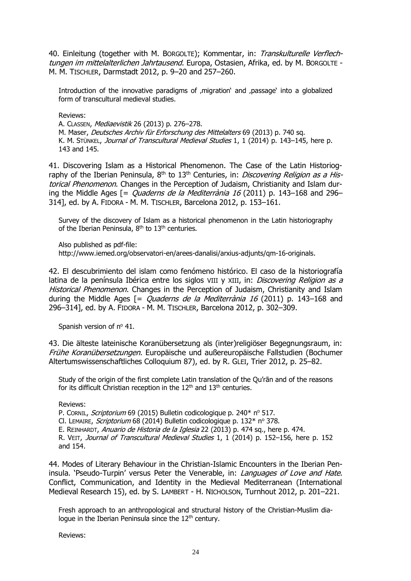40. Einleitung (together with M. BORGOLTE); Kommentar, in: Transkulturelle Verflechtungen im mittelalterlichen Jahrtausend. Europa, Ostasien, Afrika, ed. by M. BORGOLTE -M. M. TISCHLER, Darmstadt 2012, p. 9–20 and 257–260.

Introduction of the innovative paradigms of 'migration' and 'passage' into a globalized form of transcultural medieval studies.

Reviews:

A. CLASSEN, Mediaevistik 26 (2013) p. 276–278.

M. Maser, Deutsches Archiv für Erforschung des Mittelalters 69 (2013) p. 740 sq. K. M. STÜNKEL, Journal of Transcultural Medieval Studies 1, 1 (2014) p. 143–145, here p. 143 and 145.

41. Discovering Islam as a Historical Phenomenon. The Case of the Latin Historiography of the Iberian Peninsula,  $8<sup>th</sup>$  to 13<sup>th</sup> Centuries, in: *Discovering Religion as a His*torical Phenomenon. Changes in the Perception of Judaism, Christianity and Islam during the Middle Ages  $I =$  *Ouaderns de la Mediterrània 16* (2011) p. 143–168 and 296– 314], ed. by A. FIDORA - M. M. TISCHLER, Barcelona 2012, p. 153–161.

Survey of the discovery of Islam as a historical phenomenon in the Latin historiography of the Iberian Peninsula, 8<sup>th</sup> to 13<sup>th</sup> centuries.

Also published as pdf-file: [http://www.iemed.org/observatori-en/arees-danalisi/arxius-adjunts/qm-16-originals.](http://www.iemed.org/observatori-en/arees-danalisi/arxius-adjunts/qm-16-originals)

42. El descubrimiento del islam como fenómeno histórico. El caso de la historiografía latina de la península Ibérica entre los siglos VIII y XIII, in: *Discovering Religion as a* Historical Phenomenon. Changes in the Perception of Judaism, Christianity and Islam during the Middle Ages  $I =$  *Ouaderns de la Mediterrània 16* (2011) p. 143–168 and 296–314], ed. by A. FIDORA - M. M. TISCHLER, Barcelona 2012, p. 302–309.

Spanish version of  $n^{\circ}$  41.

43. Die älteste lateinische Koranübersetzung als (inter)religiöser Begegnungsraum, in: Frühe Koranübersetzungen. Europäische und außereuropäische Fallstudien (Bochumer Altertumswissenschaftliches Colloquium 87), ed. by R. GLEI, Trier 2012, p. 25–82.

Study of the origin of the first complete Latin translation of the Qu'rān and of the reasons for its difficult Christian reception in the  $12<sup>th</sup>$  and  $13<sup>th</sup>$  centuries.

Reviews:

P. CORNIL, *Scriptorium* 69 (2015) Bulletin codicologique p. 240<sup>\*</sup> nº 517.

Cl. LEMAIRE, Scriptorium 68 (2014) Bulletin codicologique p.  $132*$  n° 378.

E. REINHARDT, Anuario de Historia de la Iglesia 22 (2013) p. 474 sq., here p. 474.

R. VEIT, Journal of Transcultural Medieval Studies 1, 1 (2014) p. 152-156, here p. 152 and 154.

44. Modes of Literary Behaviour in the Christian-Islamic Encounters in the Iberian Peninsula. 'Pseudo-Turpin' versus Peter the Venerable, in: *Languages of Love and Hate*. Conflict, Communication, and Identity in the Medieval Mediterranean (International Medieval Research 15), ed. by S. LAMBERT - H. NICHOLSON, Turnhout 2012, p. 201–221.

Fresh approach to an anthropological and structural history of the Christian-Muslim dialoque in the Iberian Peninsula since the 12<sup>th</sup> century.

Reviews: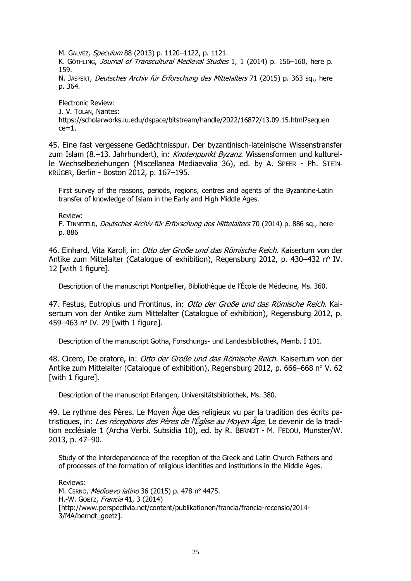M. GALVEZ, Speculum 88 (2013) p. 1120–1122, p. 1121. K. GÖTHLING, Journal of Transcultural Medieval Studies 1, 1 (2014) p. 156-160, here p. 159.

N. JASPERT, Deutsches Archiv für Erforschung des Mittelalters 71 (2015) p. 363 sq., here p. 364.

Electronic Review: J. V. TOLAN, Nantes: [https://scholarworks.iu.edu/dspace/bitstream/handle/2022/16872/13.09.15.html?sequen](https://scholarworks.iu.edu/dspace/bitstream/handle/2022/16872/13.09.15.html?sequence=1)  $ce=1$ .

45. Eine fast vergessene Gedächtnisspur. Der byzantinisch-lateinische Wissenstransfer zum Islam (8.–13. Jahrhundert), in: Knotenpunkt Byzanz. Wissensformen und kulturelle Wechselbeziehungen (Miscellanea Mediaevalia 36), ed. by A. SPEER - Ph. STEIN-KRÜGER, Berlin - Boston 2012, p. 167–195.

First survey of the reasons, periods, regions, centres and agents of the Byzantine-Latin transfer of knowledge of Islam in the Early and High Middle Ages.

Review:

F. TINNEFELD, Deutsches Archiv für Erforschung des Mittelalters 70 (2014) p. 886 sq., here p. 886

46. Einhard, Vita Karoli, in: Otto der Große und das Römische Reich. Kaisertum von der Antike zum Mittelalter (Catalogue of exhibition), Regensburg 2012, p. 430–432 nº IV. 12 [with 1 figure].

Description of the manuscript Montpellier, Bibliothèque de l'École de Médecine, Ms. 360.

47. Festus, Eutropius und Frontinus, in: Otto der Große und das Römische Reich. Kaisertum von der Antike zum Mittelalter (Catalogue of exhibition), Regensburg 2012, p. 459-463 nº IV. 29 [with 1 figure].

Description of the manuscript Gotha, Forschungs- und Landesbibliothek, Memb. I 101.

48. Cicero, De oratore, in: Otto der Große und das Römische Reich. Kaisertum von der Antike zum Mittelalter (Catalogue of exhibition), Regensburg 2012, p. 666–668 n° V. 62 [with 1 figure].

Description of the manuscript Erlangen, Universitätsbibliothek, Ms. 380.

49. Le rythme des Pères. Le Moyen Âge des religieux vu par la tradition des écrits patristiques, in: Les réceptions des Pères de l'Église au Moyen Âge. Le devenir de la tradition ecclésiale 1 (Archa Verbi. Subsidia 10), ed. by R. BERNDT - M. FEDOU, Munster/W. 2013, p. 47–90.

Study of the interdependence of the reception of the Greek and Latin Church Fathers and of processes of the formation of religious identities and institutions in the Middle Ages.

Reviews: M. CERNO, Medioevo latino 36 (2015) p. 478 nº 4475. H.-W. GOETZ, Francia 41, 3 (2014) [http://www.perspectivia.net/content/publikationen/francia/francia-recensio/2014- 3/MA/berndt\_goetz].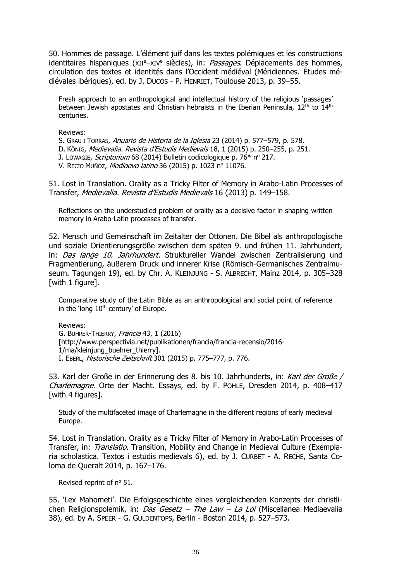50. Hommes de passage. L'élément juif dans les textes polémiques et les constructions identitaires hispaniques (XII<sup>e</sup>–XIV<sup>e</sup> siècles), in: Passages. Déplacements des hommes, circulation des textes et identités dans l'Occident médiéval (Méridiennes. Études médiévales ibériques), ed. by J. DUCOS - P. HENRIET, Toulouse 2013, p. 39–55.

Fresh approach to an anthropological and intellectual history of the religious 'passages' between Jewish apostates and Christian hebraists in the Iberian Peninsula,  $12<sup>th</sup>$  to  $14<sup>th</sup>$ centuries.

Reviews:

S. GRAU I TORRAS, Anuario de Historia de la Iglesia 23 (2014) p. 577–579, p. 578.

D. KÖNIG, Medievalia. Revista d'Estudis Medievals 18, 1 (2015) p. 250–255, p. 251.

J. LOWAGIE, Scriptorium 68 (2014) Bulletin codicologique p.  $76*$  n° 217.

V. RECIO MUÑOZ, Medioevo latino 36 (2015) p. 1023 nº 11076.

51. Lost in Translation. Orality as a Tricky Filter of Memory in Arabo-Latin Processes of Transfer, Medievalia. Revista d'Estudis Medievals 16 (2013) p. 149–158.

Reflections on the understudied problem of orality as a decisive factor in shaping written memory in Arabo-Latin processes of transfer.

52. Mensch und Gemeinschaft im Zeitalter der Ottonen. Die Bibel als anthropologische und soziale Orientierungsgröße zwischen dem späten 9. und frühen 11. Jahrhundert, in: Das lange 10. Jahrhundert. Struktureller Wandel zwischen Zentralisierung und Fragmentierung, äußerem Druck und innerer Krise (Römisch-Germanisches Zentralmuseum. Tagungen 19), ed. by Chr. A. KLEINJUNG - S. ALBRECHT, Mainz 2014, p. 305–328 [with 1 figure].

Comparative study of the Latin Bible as an anthropological and social point of reference in the 'long 10<sup>th</sup> century' of Europe.

Reviews:

G. BÜHRER-THIERRY, Francia 43, 1 (2016) [http://www.perspectivia.net/publikationen/francia/francia-recensio/2016- 1/ma/kleinjung buehrer thierry]. I. EBERL, Historische Zeitschrift 301 (2015) p. 775–777, p. 776.

53. Karl der Große in der Erinnerung des 8. bis 10. Jahrhunderts, in: Karl der Große / Charlemagne. Orte der Macht. Essays, ed. by F. POHLE, Dresden 2014, p. 408–417 [with 4 figures].

Study of the multifaceted image of Charlemagne in the different regions of early medieval Europe.

54. Lost in Translation. Orality as a Tricky Filter of Memory in Arabo-Latin Processes of Transfer, in: Translatio. Transition, Mobility and Change in Medieval Culture (Exemplaria scholastica. Textos i estudis medievals 6), ed. by J. CURBET - A. RECHE, Santa Coloma de Queralt 2014, p. 167–176.

Revised reprint of nº 51.

55. 'Lex Mahometi'. Die Erfolgsgeschichte eines vergleichenden Konzepts der christlichen Religionspolemik, in: *Das Gesetz – The Law – La Loi* (Miscellanea Mediaevalia 38), ed. by A. SPEER - G. GULDENTOPS, Berlin - Boston 2014, p. 527–573.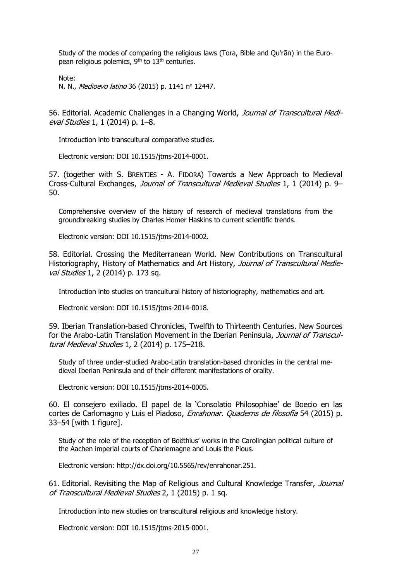Study of the modes of comparing the religious laws (Tora, Bible and Qu'rān) in the European religious polemics,  $9<sup>th</sup>$  to  $13<sup>th</sup>$  centuries.

Note:

N. N., Medioevo latino 36 (2015) p. 1141 nº 12447.

56. Editorial. Academic Challenges in a Changing World, Journal of Transcultural Medieval Studies 1, 1 (2014) p. 1–8.

Introduction into transcultural comparative studies.

Electronic version: DOI 10.1515/jtms-2014-0001.

57. (together with S. BRENTJES - A. FIDORA) Towards a New Approach to Medieval Cross-Cultural Exchanges, Journal of Transcultural Medieval Studies 1, 1 (2014) p. 9– 50.

Comprehensive overview of the history of research of medieval translations from the groundbreaking studies by Charles Homer Haskins to current scientific trends.

Electronic version: DOI 10.1515/jtms-2014-0002.

58. Editorial. Crossing the Mediterranean World. New Contributions on Transcultural Historiography, History of Mathematics and Art History, Journal of Transcultural Medieval Studies 1, 2 (2014) p. 173 sq.

Introduction into studies on trancultural history of historiography, mathematics and art.

Electronic version: DOI 10.1515/jtms-2014-0018.

59. Iberian Translation-based Chronicles, Twelfth to Thirteenth Centuries. New Sources for the Arabo-Latin Translation Movement in the Iberian Peninsula, Journal of Transcultural Medieval Studies 1, 2 (2014) p. 175–218.

Study of three under-studied Arabo-Latin translation-based chronicles in the central medieval Iberian Peninsula and of their different manifestations of orality.

Electronic version: DOI 10.1515/jtms-2014-0005.

60. El consejero exiliado. El papel de la 'Consolatio Philosophiae' de Boecio en las cortes de Carlomagno y Luis el Piadoso, *Enrahonar. Quaderns de filosofía* 54 (2015) p. 33–54 [with 1 figure].

Study of the role of the reception of Boëthius' works in the Carolingian political culture of the Aachen imperial courts of Charlemagne and Louis the Pious.

Electronic version: [http://dx.doi.org/10.5565/rev/enrahonar.251.](http://dx.doi.org/10.5565/rev/enrahonar.251)

61. Editorial. Revisiting the Map of Religious and Cultural Knowledge Transfer, Journal of Transcultural Medieval Studies 2, 1 (2015) p. 1 sq.

Introduction into new studies on transcultural religious and knowledge history.

Electronic version: DOI 10.1515/jtms-2015-0001.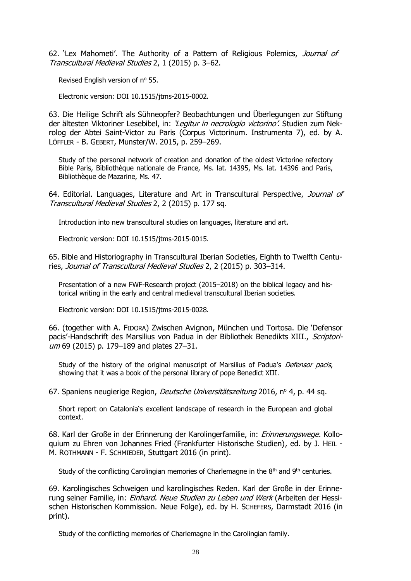62. 'Lex Mahometi'. The Authority of a Pattern of Religious Polemics, Journal of Transcultural Medieval Studies 2, 1 (2015) p. 3–62.

Revised English version of nº 55.

Electronic version: DOI 10.1515/jtms-2015-0002.

63. Die Heilige Schrift als Sühneopfer? Beobachtungen und Überlegungen zur Stiftung der ältesten Viktoriner Lesebibel, in: 'Legitur in necrologio victorino'. Studien zum Nekrolog der Abtei Saint-Victor zu Paris (Corpus Victorinum. Instrumenta 7), ed. by A. LÖFFLER - B. GEBERT, Munster/W. 2015, p. 259–269.

Study of the personal network of creation and donation of the oldest Victorine refectory Bible Paris, Bibliothèque nationale de France, Ms. lat. 14395, Ms. lat. 14396 and Paris, Bibliothèque de Mazarine, Ms. 47.

64. Editorial. Languages, Literature and Art in Transcultural Perspective, Journal of Transcultural Medieval Studies 2, 2 (2015) p. 177 sq.

Introduction into new transcultural studies on languages, literature and art.

Electronic version: DOI 10.1515/jtms-2015-0015.

65. Bible and Historiography in Transcultural Iberian Societies, Eighth to Twelfth Centuries, Journal of Transcultural Medieval Studies 2, 2 (2015) p. 303–314.

Presentation of a new FWF-Research project (2015–2018) on the biblical legacy and historical writing in the early and central medieval transcultural Iberian societies.

Electronic version: DOI 10.1515/jtms-2015-0028.

66. (together with A. FIDORA) Zwischen Avignon, München und Tortosa. Die 'Defensor pacis'-Handschrift des Marsilius von Padua in der Bibliothek Benedikts XIII., Scriptorium 69 (2015) p. 179–189 and plates 27–31.

Study of the history of the original manuscript of Marsilius of Padua's *Defensor pacis*, showing that it was a book of the personal library of pope Benedict XIII.

67. Spaniens neugierige Region, *Deutsche Universitätszeitung* 2016, nº 4, p. 44 sq.

Short report on Catalonia's excellent landscape of research in the European and global context.

68. Karl der Große in der Erinnerung der Karolingerfamilie, in: Erinnerungswege. Kolloquium zu Ehren von Johannes Fried (Frankfurter Historische Studien), ed. by J. HEIL - M. ROTHMANN - F. SCHMIEDER, Stuttgart 2016 (in print).

Study of the conflicting Carolingian memories of Charlemagne in the  $8<sup>th</sup>$  and  $9<sup>th</sup>$  centuries.

69. Karolingisches Schweigen und karolingisches Reden. Karl der Große in der Erinnerung seiner Familie, in: Einhard. Neue Studien zu Leben und Werk (Arbeiten der Hessischen Historischen Kommission. Neue Folge), ed. by H. SCHEFERS, Darmstadt 2016 (in print).

Study of the conflicting memories of Charlemagne in the Carolingian family.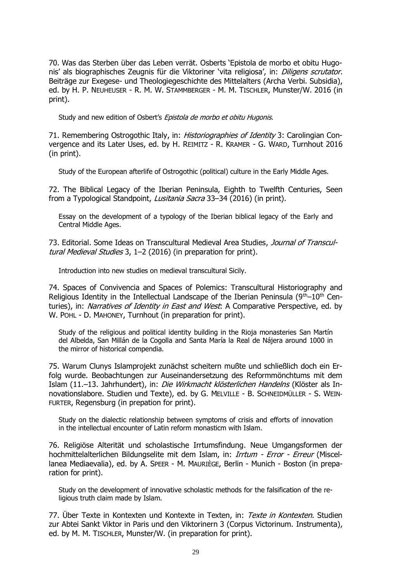70. Was das Sterben über das Leben verrät. Osberts 'Epistola de morbo et obitu Hugonis' als biographisches Zeugnis für die Viktoriner 'vita religiosa', in: *Diligens scrutator*. Beiträge zur Exegese- und Theologiegeschichte des Mittelalters (Archa Verbi. Subsidia), ed. by H. P. NEUHEUSER - R. M. W. STAMMBERGER - M. M. TISCHLER, Munster/W. 2016 (in print).

Study and new edition of Osbert's Epistola de morbo et obitu Hugonis.

71. Remembering Ostrogothic Italy, in: *Historiographies of Identity* 3: Carolingian Convergence and its Later Uses, ed. by H. REIMITZ - R. KRAMER - G. WARD, Turnhout 2016 (in print).

Study of the European afterlife of Ostrogothic (political) culture in the Early Middle Ages.

72. The Biblical Legacy of the Iberian Peninsula, Eighth to Twelfth Centuries, Seen from a Typological Standpoint, Lusitania Sacra 33-34 (2016) (in print).

Essay on the development of a typology of the Iberian biblical legacy of the Early and Central Middle Ages.

73. Editorial. Some Ideas on Transcultural Medieval Area Studies, Journal of Transcultural Medieval Studies 3, 1–2 (2016) (in preparation for print).

Introduction into new studies on medieval transcultural Sicily.

74. Spaces of Convivencia and Spaces of Polemics: Transcultural Historiography and Religious Identity in the Intellectual Landscape of the Iberian Peninsula ( $9<sup>th</sup>-10<sup>th</sup>$  Centuries), in: *Narratives of Identity in East and West*: A Comparative Perspective, ed. by W. POHL - D. MAHONEY, Turnhout (in preparation for print).

Study of the religious and political identity building in the Rioja monasteries San Martín del Albelda, San Millán de la Cogolla and Santa María la Real de Nájera around 1000 in the mirror of historical compendia.

75. Warum Clunys Islamprojekt zunächst scheitern mußte und schließlich doch ein Erfolg wurde. Beobachtungen zur Auseinandersetzung des Reformmönchtums mit dem Islam (11.–13. Jahrhundert), in: Die Wirkmacht klösterlichen Handelns (Klöster als Innovationslabore. Studien und Texte), ed. by G. MELVILLE - B. SCHNEIDMÜLLER - S. WEIN-FURTER, Regensburg (in prepation for print).

Study on the dialectic relationship between symptoms of crisis and efforts of innovation in the intellectual encounter of Latin reform monasticm with Islam.

76. Religiöse Alterität und scholastische Irrtumsfindung. Neue Umgangsformen der hochmittelalterlichen Bildungselite mit dem Islam, in: *Irrtum - Error - Erreur* (Miscellanea Mediaevalia), ed. by A. SPEER - M. MAURIÈGE, Berlin - Munich - Boston (in preparation for print).

Study on the development of innovative scholastic methods for the falsification of the religious truth claim made by Islam.

77. Über Texte in Kontexten und Kontexte in Texten, in: Texte in Kontexten. Studien zur Abtei Sankt Viktor in Paris und den Viktorinern 3 (Corpus Victorinum. Instrumenta), ed. by M. M. TISCHLER, Munster/W. (in preparation for print).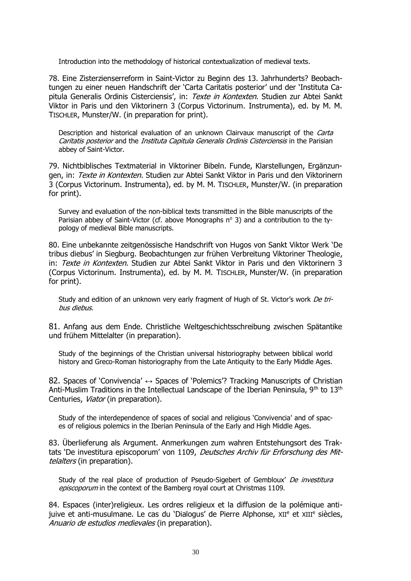Introduction into the methodology of historical contextualization of medieval texts.

78. Eine Zisterzienserreform in Saint-Victor zu Beginn des 13. Jahrhunderts? Beobachtungen zu einer neuen Handschrift der 'Carta Caritatis posterior' und der 'Instituta Capitula Generalis Ordinis Cisterciensis', in: Texte in Kontexten. Studien zur Abtei Sankt Viktor in Paris und den Viktorinern 3 (Corpus Victorinum. Instrumenta), ed. by M. M. TISCHLER, Munster/W. (in preparation for print).

Description and historical evaluation of an unknown Clairvaux manuscript of the Carta Caritatis posterior and the Instituta Capitula Generalis Ordinis Cisterciensis in the Parisian abbey of Saint-Victor.

79. Nichtbiblisches Textmaterial in Viktoriner Bibeln. Funde, Klarstellungen, Ergänzungen, in: Texte in Kontexten. Studien zur Abtei Sankt Viktor in Paris und den Viktorinern 3 (Corpus Victorinum. Instrumenta), ed. by M. M. TISCHLER, Munster/W. (in preparation for print).

Survey and evaluation of the non-biblical texts transmitted in the Bible manuscripts of the Parisian abbey of Saint-Victor (cf. above Monographs  $n^{\circ}$  3) and a contribution to the typology of medieval Bible manuscripts.

80. Eine unbekannte zeitgenössische Handschrift von Hugos von Sankt Viktor Werk 'De tribus diebus' in Siegburg. Beobachtungen zur frühen Verbreitung Viktoriner Theologie, in: Texte in Kontexten. Studien zur Abtei Sankt Viktor in Paris und den Viktorinern 3 (Corpus Victorinum. Instrumenta), ed. by M. M. TISCHLER, Munster/W. (in preparation for print).

Study and edition of an unknown very early fragment of Hugh of St. Victor's work De tribus diebus.

81. Anfang aus dem Ende. Christliche Weltgeschichtsschreibung zwischen Spätantike und frühem Mittelalter (in preparation).

Study of the beginnings of the Christian universal historiography between biblical world history and Greco-Roman historiography from the Late Antiquity to the Early Middle Ages.

82. Spaces of 'Convivencia'  $\leftrightarrow$  Spaces of 'Polemics'? Tracking Manuscripts of Christian Anti-Muslim Traditions in the Intellectual Landscape of the Iberian Peninsula,  $9<sup>th</sup>$  to  $13<sup>th</sup>$ Centuries, Viator (in preparation).

Study of the interdependence of spaces of social and religious 'Convivencia' and of spaces of religious polemics in the Iberian Peninsula of the Early and High Middle Ages.

83. Überlieferung als Argument. Anmerkungen zum wahren Entstehungsort des Traktats 'De investitura episcoporum' von 1109, Deutsches Archiv für Erforschung des Mittelalters (in preparation).

Study of the real place of production of Pseudo-Sigebert of Gembloux' De investitura episcoporum in the context of the Bamberg royal court at Christmas 1109.

84. Espaces (inter)religieux. Les ordres religieux et la diffusion de la polémique antijuive et anti-musulmane. Le cas du 'Dialogus' de Pierre Alphonse, XII<sup>e</sup> et XIII<sup>e</sup> siècles, Anuario de estudios medievales (in preparation).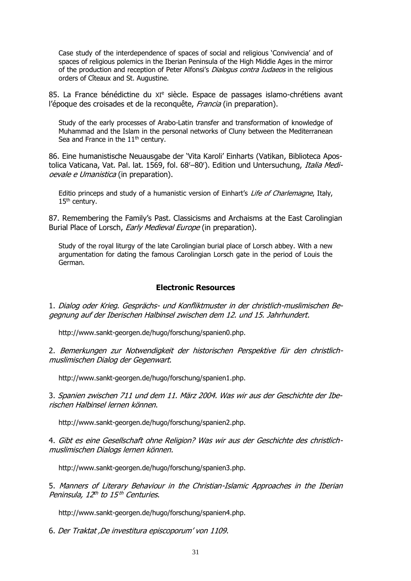Case study of the interdependence of spaces of social and religious 'Convivencia' and of spaces of religious polemics in the Iberian Peninsula of the High Middle Ages in the mirror of the production and reception of Peter Alfonsi's *Dialogus contra Iudaeos* in the religious orders of Cîteaux and St. Augustine.

85. La France bénédictine du XI<sup>e</sup> siècle. Espace de passages islamo-chrétiens avant l'époque des croisades et de la reconquête, Francia (in preparation).

Study of the early processes of Arabo-Latin transfer and transformation of knowledge of Muhammad and the Islam in the personal networks of Cluny between the Mediterranean Sea and France in the  $11<sup>th</sup>$  century.

86. Eine humanistische Neuausgabe der 'Vita Karoli' Einharts (Vatikan, Biblioteca Apostolica Vaticana, Vat. Pal. lat. 1569, fol. 68<sup>r</sup>–80<sup>r</sup>). Edition und Untersuchung, *Italia Medi*oevale e Umanistica (in preparation).

Editio princeps and study of a humanistic version of Einhart's Life of Charlemagne, Italy, 15<sup>th</sup> century.

87. Remembering the Family's Past. Classicisms and Archaisms at the East Carolingian Burial Place of Lorsch, Early Medieval Europe (in preparation).

Study of the royal liturgy of the late Carolingian burial place of Lorsch abbey. With a new argumentation for dating the famous Carolingian Lorsch gate in the period of Louis the German.

### **Electronic Resources**

1. Dialog oder Krieg. Gesprächs- und Konfliktmuster in der christlich-muslimischen Begegnung auf der Iberischen Halbinsel zwischen dem 12. und 15. Jahrhundert.

http://www.sankt-georgen.de/hugo/forschung/spanien0.php.

2. Bemerkungen zur Notwendigkeit der historischen Perspektive für den christlichmuslimischen Dialog der Gegenwart.

http://www.sankt-georgen.de/hugo/forschung/spanien1.php.

3. Spanien zwischen 711 und dem 11. März 2004. Was wir aus der Geschichte der Iberischen Halbinsel lernen können.

[http://www.sankt-georgen.de/hugo/forschung/spanien2.php.](http://www.sankt-georgen.de/hugo/forschung/spanien2.php)

4. Gibt es eine Gesellschaft ohne Religion? Was wir aus der Geschichte des christlichmuslimischen Dialogs lernen können.

[http://www.sankt-georgen.de/hugo/forschung/spanien3.php.](http://www.sankt-georgen.de/hugo/forschung/spanien3.php)

5. Manners of Literary Behaviour in the Christian-Islamic Approaches in the Iberian Peninsula, 12<sup>th</sup> to 15<sup>th</sup> Centuries.

[http://www.sankt-georgen.de/hugo/forschung/spanien4.php.](http://www.sankt-georgen.de/hugo/forschung/spanien4.php)

6. Der Traktat 'De investitura episcoporum' von 1109.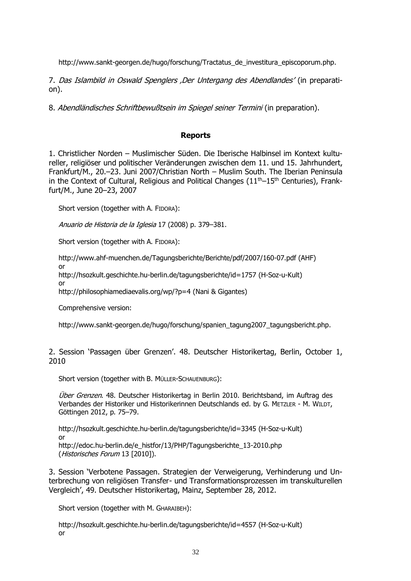http://www.sankt-georgen.de/hugo/forschung/Tractatus\_de\_investitura\_episcoporum.php.

7. Das Islambild in Oswald Spenglers 'Der Untergang des Abendlandes' (in preparation).

8. Abendländisches Schriftbewußtsein im Spiegel seiner Termini (in preparation).

# **Reports**

1. Christlicher Norden – Muslimischer Süden. Die Iberische Halbinsel im Kontext kultureller, religiöser und politischer Veränderungen zwischen dem 11. und 15. Jahrhundert, Frankfurt/M., 20.–23. Juni 2007/Christian North – Muslim South. The Iberian Peninsula in the Context of Cultural, Religious and Political Changes  $(11<sup>th</sup>-15<sup>th</sup>$  Centuries), Frankfurt/M., June 20–23, 2007

Short version (together with A. FIDORA):

Anuario de Historia de la Iglesia 17 (2008) p. 379–381.

Short version (together with A. FIDORA):

<http://www.ahf-muenchen.de/Tagungsberichte/Berichte/pdf/2007/160-07.pdf> (AHF)

<http://hsozkult.geschichte.hu-berlin.de/tagungsberichte/id=1757> (H-Soz-u-Kult)

or

or

<http://philosophiamediaevalis.org/wp/?p=4> (Nani & Gigantes)

Comprehensive version:

[http://www.sankt-georgen.de/hugo/forschung/spanien\\_tagung2007\\_tagungsbericht.php.](http://www.sankt-georgen.de/hugo/forschung/spanien_tagung2007_tagungsbericht.php)

2. Session 'Passagen über Grenzen'. 48. Deutscher Historikertag, Berlin, October 1, 2010

Short version (together with B. MÜLLER-SCHAUENBURG):

Über Grenzen. 48. Deutscher Historikertag in Berlin 2010. Berichtsband, im Auftrag des Verbandes der Historiker und Historikerinnen Deutschlands ed. by G. METZLER - M. WILDT, Göttingen 2012, p. 75–79.

<http://hsozkult.geschichte.hu-berlin.de/tagungsberichte/id=3345> (H-Soz-u-Kult) or [http://edoc.hu-berlin.de/e\\_histfor/13/PHP/Tagungsberichte\\_13-2010.php](http://edoc.hu-berlin.de/e_histfor/13/PHP/Tagungsberichte_13-2010.php) (Historisches Forum 13 [2010]).

3. Session 'Verbotene Passagen. Strategien der Verweigerung, Verhinderung und Unterbrechung von religiösen Transfer- und Transformationsprozessen im transkulturellen

Short version (together with M. GHARAIBEH):

<http://hsozkult.geschichte.hu-berlin.de/tagungsberichte/id=4557> (H-Soz-u-Kult) or

Vergleich', 49. Deutscher Historikertag, Mainz, September 28, 2012.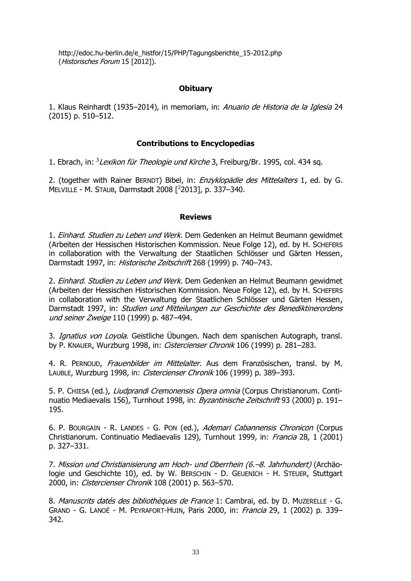[http://edoc.hu-berlin.de/e\\_histfor/15/PHP/Tagungsberichte\\_15-2012.php](http://edoc.hu-berlin.de/e_histfor/15/PHP/Tagungsberichte_15-2012.php) (Historisches Forum 15 [2012]).

# **Obituary**

1. Klaus Reinhardt (1935–2014), in memoriam, in: Anuario de Historia de la Iglesia 24 (2015) p. 510–512.

# **Contributions to Encyclopedias**

1. Ebrach, in: <sup>3</sup> Lexikon für Theologie und Kirche 3, Freiburg/Br. 1995, col. 434 sq.

2. (together with Rainer BERNDT) Bibel, in: *Enzyklopädie des Mittelalters* 1, ed. by G. MELVILLE - M. STAUB, Darmstadt 2008 [ <sup>2</sup>2013], p. 337–340.

#### **Reviews**

1. Einhard. Studien zu Leben und Werk. Dem Gedenken an Helmut Beumann gewidmet (Arbeiten der Hessischen Historischen Kommission. Neue Folge 12), ed. by H. SCHEFERS in collaboration with the Verwaltung der Staatlichen Schlösser und Gärten Hessen, Darmstadt 1997, in: Historische Zeitschrift 268 (1999) p. 740–743.

2. Einhard. Studien zu Leben und Werk. Dem Gedenken an Helmut Beumann gewidmet (Arbeiten der Hessischen Historischen Kommission. Neue Folge 12), ed. by H. SCHEFERS in collaboration with the Verwaltung der Staatlichen Schlösser und Gärten Hessen, Darmstadt 1997, in: Studien und Mitteilungen zur Geschichte des Benediktinerordens und seiner Zweige 110 (1999) p. 487–494.

3. Ignatius von Loyola. Geistliche Übungen. Nach dem spanischen Autograph, transl. by P. KNAUER, Wurzburg 1998, in: Cistercienser Chronik 106 (1999) p. 281–283.

4. R. PERNOUD, Frauenbilder im Mittelalter. Aus dem Französischen, transl. by M. LAUBLE, Wurzburg 1998, in: Cistercienser Chronik 106 (1999) p. 389-393.

5. P. CHIESA (ed.), *Liudprandi Cremonensis Opera omnia* (Corpus Christianorum. Continuatio Mediaevalis 156), Turnhout 1998, in: Byzantinische Zeitschrift 93 (2000) p. 191-195.

6. P. BOURGAIN - R. LANDES - G. PON (ed.), Ademari Cabannensis Chronicon (Corpus Christianorum. Continuatio Mediaevalis 129), Turnhout 1999, in: Francia 28, 1 (2001) p. 327–331.

7. Mission und Christianisierung am Hoch- und Oberrhein (6.–8. Jahrhundert) (Archäologie und Geschichte 10), ed. by W. BERSCHIN - D. GEUENICH - H. STEUER, Stuttgart 2000, in: Cistercienser Chronik 108 (2001) p. 563–570.

8. Manuscrits datés des bibliothèques de France 1: Cambrai, ed. by D. MUZERELLE - G. GRAND - G. LANOË - M. PEYRAFORT-HUIN, Paris 2000, in: Francia 29, 1 (2002) p. 339– 342.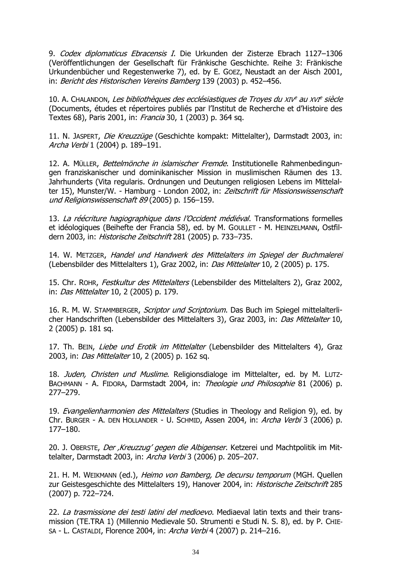9. Codex diplomaticus Ebracensis I. Die Urkunden der Zisterze Ebrach 1127-1306 (Veröffentlichungen der Gesellschaft für Fränkische Geschichte. Reihe 3: Fränkische Urkundenbücher und Regestenwerke 7), ed. by E. GOEZ, Neustadt an der Aisch 2001, in: Bericht des Historischen Vereins Bamberg 139 (2003) p. 452–456.

10. A. Chalandon, *Les bibliothèques des ecclésiastiques de Troyes du XIV<sup>e</sup> au XVI<sup>e</sup> siècle* (Documents, études et répertoires publiés par l'Institut de Recherche et d'Histoire des Textes 68), Paris 2001, in: Francia 30, 1 (2003) p. 364 sq.

11. N. JASPERT, Die Kreuzzüge (Geschichte kompakt: Mittelalter), Darmstadt 2003, in: Archa Verbi 1 (2004) p. 189–191.

12. A. MÜLLER, Bettelmönche in islamischer Fremde. Institutionelle Rahmenbedingungen franziskanischer und dominikanischer Mission in muslimischen Räumen des 13. Jahrhunderts (Vita regularis. Ordnungen und Deutungen religiosen Lebens im Mittelalter 15), Munster/W. - Hamburg - London 2002, in: Zeitschrift für Missionswissenschaft und Religionswissenschaft 89 (2005) p. 156-159.

13. La réécriture hagiographique dans l'Occident médiéval. Transformations formelles et idéologiques (Beihefte der Francia 58), ed. by M. GOULLET - M. HEINZELMANN, Ostfildern 2003, in: Historische Zeitschrift 281 (2005) p. 733–735.

14. W. METZGER, Handel und Handwerk des Mittelalters im Spiegel der Buchmalerei (Lebensbilder des Mittelalters 1), Graz 2002, in: Das Mittelalter 10, 2 (2005) p. 175.

15. Chr. ROHR, Festkultur des Mittelalters (Lebensbilder des Mittelalters 2), Graz 2002, in: Das Mittelalter 10, 2 (2005) p. 179.

16. R. M. W. STAMMBERGER, Scriptor und Scriptorium. Das Buch im Spiegel mittelalterlicher Handschriften (Lebensbilder des Mittelalters 3), Graz 2003, in: Das Mittelalter 10, 2 (2005) p. 181 sq.

17. Th. BEIN, Liebe und Erotik im Mittelalter (Lebensbilder des Mittelalters 4), Graz 2003, in: *Das Mittelalter* 10, 2 (2005) p. 162 sq.

18. Juden, Christen und Muslime. Religionsdialoge im Mittelalter, ed. by M. LUTZ-BACHMANN - A. FIDORA, Darmstadt 2004, in: Theologie und Philosophie 81 (2006) p. 277–279.

19. Evangelienharmonien des Mittelalters (Studies in Theology and Religion 9), ed. by Chr. BURGER - A. DEN HOLLANDER - U. SCHMID, Assen 2004, in: Archa Verbi 3 (2006) p. 177–180.

20. J. OBERSTE, Der Kreuzzug' gegen die Albigenser. Ketzerei und Machtpolitik im Mittelalter, Darmstadt 2003, in: Archa Verbi 3 (2006) p. 205–207.

21. H. M. WEIKMANN (ed.), Heimo von Bamberg, De decursu temporum (MGH. Quellen zur Geistesgeschichte des Mittelalters 19), Hanover 2004, in: Historische Zeitschrift 285 (2007) p. 722–724.

22. La trasmissione dei testi latini del medioevo. Mediaeval latin texts and their transmission (TE.TRA 1) (Millennio Medievale 50. Strumenti e Studi N. S. 8), ed. by P. CHIE-SA - L. CASTALDI, Florence 2004, in: Archa Verbi 4 (2007) p. 214–216.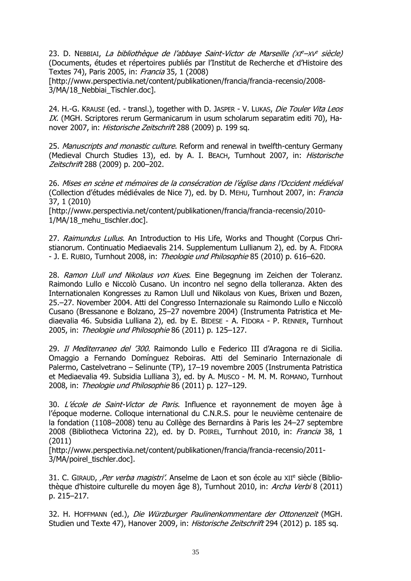23. D. NEBBIAI, *La bibliothèque de l'abbaye Saint-Victor de Marseille (xf<sup>e\_</sup>xv<sup>e</sup> siècle)* (Documents, études et répertoires publiés par l'Institut de Recherche et d'Histoire des Textes 74), Paris 2005, in: Francia 35, 1 (2008)

[http://www.perspectivia.net/content/publikationen/francia/francia-recensio/2008- 3/MA/18 Nebbiai Tischler.doc].

24. H.-G. KRAUSE (ed. - transl.), together with D. JASPER - V. LUKAS, Die Touler Vita Leos IX. (MGH. Scriptores rerum Germanicarum in usum scholarum separatim editi 70), Hanover 2007, in: Historische Zeitschrift 288 (2009) p. 199 sq.

25. Manuscripts and monastic culture. Reform and renewal in twelfth-century Germany (Medieval Church Studies 13), ed. by A. I. BEACH, Turnhout 2007, in: Historische Zeitschrift 288 (2009) p. 200–202.

26. Mises en scène et mémoires de la consécration de l'église dans l'Occident médiéval (Collection d'études médiévales de Nice 7), ed. by D. MEHU, Turnhout 2007, in: Francia 37, 1 (2010)

[http://www.perspectivia.net/content/publikationen/francia/francia-recensio/2010- 1/MA/18 mehu tischler.doc].

27. Raimundus Lullus. An Introduction to His Life, Works and Thought (Corpus Christianorum. Continuatio Mediaevalis 214. Supplementum Lullianum 2), ed. by A. FIDORA - J. E. RUBIO, Turnhout 2008, in: Theologie und Philosophie 85 (2010) p. 616-620.

28. Ramon Llull und Nikolaus von Kues. Eine Begegnung im Zeichen der Toleranz. Raimondo Lullo e Niccolò Cusano. Un incontro nel segno della tolleranza. Akten des Internationalen Kongresses zu Ramon Llull und Nikolaus von Kues, Brixen und Bozen, 25.–27. November 2004. Atti del Congresso Internazionale su Raimondo Lullo e Niccolò Cusano (Bressanone e Bolzano, 25–27 novembre 2004) (Instrumenta Patristica et Mediaevalia 46. Subsidia Lulliana 2), ed. by E. BIDESE - A. FIDORA - P. RENNER, Turnhout 2005, in: Theologie und Philosophie 86 (2011) p. 125–127.

29. Il Mediterraneo del '300. Raimondo Lullo e Federico III d'Aragona re di Sicilia. Omaggio a Fernando Domínguez Reboiras. Atti del Seminario Internazionale di Palermo, Castelvetrano – Selinunte (TP), 17–19 novembre 2005 (Instrumenta Patristica et Mediaevalia 49. Subsidia Lulliana 3), ed. by A. MUSCO - M. M. M. ROMANO, Turnhout 2008, in: Theologie und Philosophie 86 (2011) p. 127–129.

30. L'école de Saint-Victor de Paris. Influence et rayonnement de moyen âge à l'époque moderne. Colloque international du C.N.R.S. pour le neuvième centenaire de la fondation (1108–2008) tenu au Collège des Bernardins à Paris les 24–27 septembre 2008 (Bibliotheca Victorina 22), ed. by D. POIREL, Turnhout 2010, in: Francia 38, 1 (2011)

[http://www.perspectivia.net/content/publikationen/francia/francia-recensio/2011- 3/MA/poirel\_tischler.doc].

31. C. GIRAUD, *,Per verba magistri'*. Anselme de Laon et son école au XII<sup>e</sup> siècle (Bibliothèque d'histoire culturelle du moyen âge 8), Turnhout 2010, in: Archa Verbi 8 (2011) p. 215–217.

32. H. HOFFMANN (ed.), Die Würzburger Paulinenkommentare der Ottonenzeit (MGH. Studien und Texte 47), Hanover 2009, in: Historische Zeitschrift 294 (2012) p. 185 sq.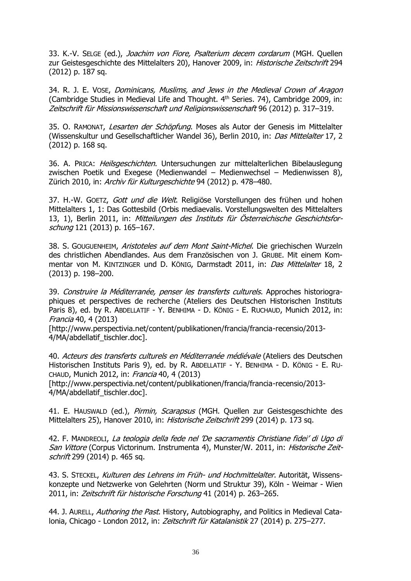33. K.-V. SELGE (ed.), Joachim von Fiore, Psalterium decem cordarum (MGH. Quellen zur Geistesgeschichte des Mittelalters 20), Hanover 2009, in: Historische Zeitschrift 294 (2012) p. 187 sq.

34. R. J. E. VOSE, Dominicans, Muslims, and Jews in the Medieval Crown of Aragon (Cambridge Studies in Medieval Life and Thought. 4<sup>th</sup> Series. 74), Cambridge 2009, in: Zeitschrift für Missionswissenschaft und Religionswissenschaft 96 (2012) p. 317–319.

35. O. RAMONAT, Lesarten der Schöpfung. Moses als Autor der Genesis im Mittelalter (Wissenskultur und Gesellschaftlicher Wandel 36), Berlin 2010, in: Das Mittelalter 17, 2 (2012) p. 168 sq.

36. A. PRICA: Heilsgeschichten. Untersuchungen zur mittelalterlichen Bibelauslegung zwischen Poetik und Exegese (Medienwandel – Medienwechsel – Medienwissen 8), Zürich 2010, in: Archiv für Kulturgeschichte 94 (2012) p. 478–480.

37. H.-W. GOETZ, Gott und die Welt. Religiöse Vorstellungen des frühen und hohen Mittelalters 1, 1: Das Gottesbild (Orbis mediaevalis. Vorstellungswelten des Mittelalters 13, 1), Berlin 2011, in: Mitteilungen des Instituts für Österreichische Geschichtsforschung 121 (2013) p. 165–167.

38. S. GOUGUENHEIM, Aristoteles auf dem Mont Saint-Michel. Die griechischen Wurzeln des christlichen Abendlandes. Aus dem Französischen von J. GRUBE. Mit einem Kommentar von M. KINTZINGER und D. KÖNIG, Darmstadt 2011, in: Das Mittelalter 18, 2 (2013) p. 198–200.

39. Construire la Méditerranée, penser les transferts culturels. Approches historiographiques et perspectives de recherche (Ateliers des Deutschen Historischen Instituts Paris 8), ed. by R. ABDELLATIF - Y. BENHIMA - D. KÖNIG - E. RUCHAUD, Munich 2012, in: Francia 40, 4 (2013)

[http://www.perspectivia.net/content/publikationen/francia/francia-recensio/2013- 4/MA/abdellatif\_tischler.doc].

40. Acteurs des transferts culturels en Méditerranée médiévale (Ateliers des Deutschen Historischen Instituts Paris 9), ed. by R. ABDELLATIF - Y. BENHIMA - D. KÖNIG - E. RU-CHAUD, Munich 2012, in: Francia 40, 4 (2013)

[http://www.perspectivia.net/content/publikationen/francia/francia-recensio/2013- 4/MA/abdellatif\_tischler.doc].

41. E. HAUSWALD (ed.), Pirmin, Scarapsus (MGH. Quellen zur Geistesgeschichte des Mittelalters 25), Hanover 2010, in: Historische Zeitschrift 299 (2014) p. 173 sq.

42. F. MANDREOLI, La teologia della fede nel 'De sacramentis Christiane fidei' di Ugo di San Vittore (Corpus Victorinum. Instrumenta 4), Munster/W. 2011, in: Historische Zeitschrift 299 (2014) p. 465 sq.

43. S. STECKEL, Kulturen des Lehrens im Früh- und Hochmittelalter. Autorität, Wissenskonzepte und Netzwerke von Gelehrten (Norm und Struktur 39), Köln - Weimar - Wien 2011, in: Zeitschrift für historische Forschung 41 (2014) p. 263-265.

44. J. AURELL, Authoring the Past. History, Autobiography, and Politics in Medieval Catalonia, Chicago - London 2012, in: Zeitschrift für Katalanistik 27 (2014) p. 275–277.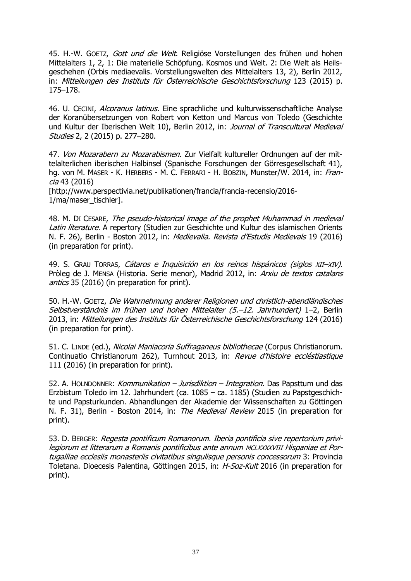45. H.-W. GOETZ, Gott und die Welt. Religiöse Vorstellungen des frühen und hohen Mittelalters 1, 2, 1: Die materielle Schöpfung. Kosmos und Welt. 2: Die Welt als Heilsgeschehen (Orbis mediaevalis. Vorstellungswelten des Mittelalters 13, 2), Berlin 2012, in: Mitteilungen des Instituts für Österreichische Geschichtsforschung 123 (2015) p. 175–178.

46. U. CECINI, *Alcoranus latinus*. Eine sprachliche und kulturwissenschaftliche Analyse der Koranübersetzungen von Robert von Ketton und Marcus von Toledo (Geschichte und Kultur der Iberischen Welt 10), Berlin 2012, in: Journal of Transcultural Medieval Studies 2, 2 (2015) p. 277–280.

47. Von Mozarabern zu Mozarabismen. Zur Vielfalt kultureller Ordnungen auf der mittelalterlichen iberischen Halbinsel (Spanische Forschungen der Görresgesellschaft 41), hg. von M. MASER - K. HERBERS - M. C. FERRARI - H. BOBZIN, Munster/W. 2014, in: Francia 43 (2016)

[http://www.perspectivia.net/publikationen/francia/francia-recensio/2016- 1/ma/maser\_tischler].

48. M. DI CESARE, The pseudo-historical image of the prophet Muhammad in medieval Latin literature. A repertory (Studien zur Geschichte und Kultur des islamischen Orients N. F. 26), Berlin - Boston 2012, in: Medievalia. Revista d'Estudis Medievals 19 (2016) (in preparation for print).

49. S. GRAU TORRAS, Cátaros e Inquisición en los reinos hispánicos (siglos XII–XIV). Pròleg de J. MENSA (Historia. Serie menor), Madrid 2012, in: Arxiu de textos catalans antics 35 (2016) (in preparation for print).

50. H.-W. GOETZ, Die Wahrnehmung anderer Religionen und christlich-abendländisches Selbstverständnis im frühen und hohen Mittelalter (5.–12. Jahrhundert) 1–2, Berlin 2013, in: Mitteilungen des Instituts für Österreichische Geschichtsforschung 124 (2016) (in preparation for print).

51. C. LINDE (ed.), Nicolai Maniacoria Suffraganeus bibliothecae (Corpus Christianorum. Continuatio Christianorum 262), Turnhout 2013, in: Revue d'histoire eccléstiastique 111 (2016) (in preparation for print).

52. A. HOLNDONNER: Kommunikation – Jurisdiktion – Integration. Das Papsttum und das Erzbistum Toledo im 12. Jahrhundert (ca. 1085 – ca. 1185) (Studien zu Papstgeschichte und Papsturkunden. Abhandlungen der Akademie der Wissenschaften zu Göttingen N. F. 31), Berlin - Boston 2014, in: The Medieval Review 2015 (in preparation for print).

53. D. BERGER: Regesta pontificum Romanorum. Iberia pontificia sive repertorium privilegiorum et litterarum a Romanis pontificibus ante annum MCLXXXXVIII Hispaniae et Portugalliae ecclesiis monasteriis civitatibus singulisque personis concessorum 3: Provincia Toletana. Dioecesis Palentina, Göttingen 2015, in: H-Soz-Kult 2016 (in preparation for print).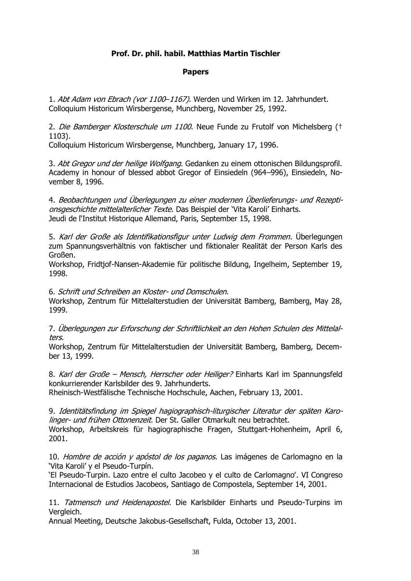# **Prof. Dr. phil. habil. Matthias Martin Tischler**

# **Papers**

1. Abt Adam von Ebrach (vor 1100-1167). Werden und Wirken im 12. Jahrhundert. Colloquium Historicum Wirsbergense, Munchberg, November 25, 1992.

2. Die Bamberger Klosterschule um 1100. Neue Funde zu Frutolf von Michelsberg († 1103).

Colloquium Historicum Wirsbergense, Munchberg, January 17, 1996.

3. Abt Gregor und der heilige Wolfgang. Gedanken zu einem ottonischen Bildungsprofil. Academy in honour of blessed abbot Gregor of Einsiedeln (964–996), Einsiedeln, November 8, 1996.

4. Beobachtungen und Überlegungen zu einer modernen Überlieferungs- und Rezeptionsgeschichte mittelalterlicher Texte. Das Beispiel der 'Vita Karoli' Einharts. Jeudi de l'Institut Historique Allemand, Paris, September 15, 1998.

5. Karl der Große als Identifikationsfigur unter Ludwig dem Frommen. Überlegungen zum Spannungsverhältnis von faktischer und fiktionaler Realität der Person Karls des Großen.

Workshop, Fridtjof-Nansen-Akademie für politische Bildung, Ingelheim, September 19, 1998.

6. Schrift und Schreiben an Kloster- und Domschulen.

Workshop, Zentrum für Mittelalterstudien der Universität Bamberg, Bamberg, May 28, 1999.

7. Überlegungen zur Erforschung der Schriftlichkeit an den Hohen Schulen des Mittelalters.

Workshop, Zentrum für Mittelalterstudien der Universität Bamberg, Bamberg, December 13, 1999.

8. Karl der Große – Mensch, Herrscher oder Heiliger? Einharts Karl im Spannungsfeld konkurrierender Karlsbilder des 9. Jahrhunderts.

Rheinisch-Westfälische Technische Hochschule, Aachen, February 13, 2001.

9. Identitätsfindung im Spiegel hagiographisch-liturgischer Literatur der späten Karolinger- und frühen Ottonenzeit. Der St. Galler Otmarkult neu betrachtet. Workshop, Arbeitskreis für hagiographische Fragen, Stuttgart-Hohenheim, April 6, 2001.

10. Hombre de acción y apóstol de los paganos. Las imágenes de Carlomagno en la 'Vita Karoli' y el Pseudo-Turpín.

'El Pseudo-Turpin. Lazo entre el culto Jacobeo y el culto de Carlomagno'. VI Congreso Internacional de Estudios Jacobeos, Santiago de Compostela, September 14, 2001.

11. Tatmensch und Heidenapostel. Die Karlsbilder Einharts und Pseudo-Turpins im Vergleich.

Annual Meeting, Deutsche Jakobus-Gesellschaft, Fulda, October 13, 2001.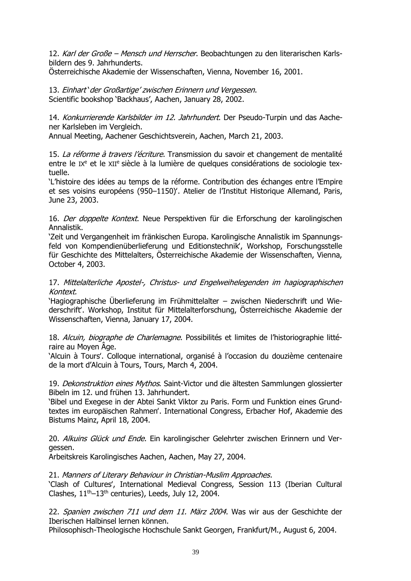12. Karl der Große – Mensch und Herrscher. Beobachtungen zu den literarischen Karlsbildern des 9. Jahrhunderts.

Österreichische Akademie der Wissenschaften, Vienna, November 16, 2001.

13. Einhart 'der Großartige' zwischen Erinnern und Vergessen. Scientific bookshop 'Backhaus', Aachen, January 28, 2002.

14. Konkurrierende Karlsbilder im 12. Jahrhundert. Der Pseudo-Turpin und das Aachener Karlsleben im Vergleich.

Annual Meeting, Aachener Geschichtsverein, Aachen, March 21, 2003.

15. La réforme à travers l'écriture. Transmission du savoir et changement de mentalité entre le  $I X<sup>e</sup>$  et le  $X I<sup>e</sup>$  siècle à la lumière de quelques considérations de sociologie textuelle.

'L'histoire des idées au temps de la réforme. Contribution des échanges entre l'Empire et ses voisins européens (950–1150)'. Atelier de l'Institut Historique Allemand, Paris, June 23, 2003.

16. Der doppelte Kontext. Neue Perspektiven für die Erforschung der karolingischen Annalistik.

'Zeit und Vergangenheit im fränkischen Europa. Karolingische Annalistik im Spannungsfeld von Kompendienüberlieferung und Editionstechnik', Workshop, Forschungsstelle für Geschichte des Mittelalters, Österreichische Akademie der Wissenschaften, Vienna, October 4, 2003.

17. Mittelalterliche Apostel-, Christus- und Engelweihelegenden im hagiographischen Kontext.

'Hagiographische Überlieferung im Frühmittelalter – zwischen Niederschrift und Wiederschrift'. Workshop, Institut für Mittelalterforschung, Österreichische Akademie der Wissenschaften, Vienna, January 17, 2004.

18. Alcuin, biographe de Charlemagne. Possibilités et limites de l'historiographie littéraire au Moyen Âge.

'Alcuin à Tours'. Colloque international, organisé à l'occasion du douzième centenaire de la mort d'Alcuin à Tours, Tours, March 4, 2004.

19. Dekonstruktion eines Mythos. Saint-Victor und die ältesten Sammlungen glossierter Bibeln im 12. und frühen 13. Jahrhundert.

'Bibel und Exegese in der Abtei Sankt Viktor zu Paris. Form und Funktion eines Grundtextes im europäischen Rahmen'. International Congress, Erbacher Hof, Akademie des Bistums Mainz, April 18, 2004.

20. Alkuins Glück und Ende. Ein karolingischer Gelehrter zwischen Erinnern und Vergessen.

Arbeitskreis Karolingisches Aachen, Aachen, May 27, 2004.

21. Manners of Literary Behaviour in Christian-Muslim Approaches.

'Clash of Cultures', International Medieval Congress, Session 113 (Iberian Cultural Clashes,  $11<sup>th</sup>-13<sup>th</sup>$  centuries), Leeds, July 12, 2004.

22. Spanien zwischen 711 und dem 11. März 2004. Was wir aus der Geschichte der Iberischen Halbinsel lernen können.

Philosophisch-Theologische Hochschule Sankt Georgen, Frankfurt/M., August 6, 2004.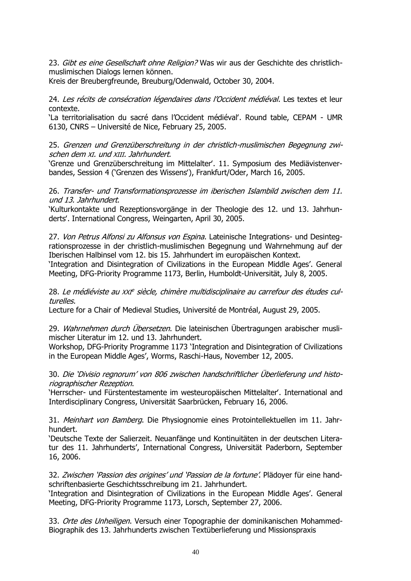23. Gibt es eine Gesellschaft ohne Religion? Was wir aus der Geschichte des christlichmuslimischen Dialogs lernen können.

Kreis der Breubergfreunde, Breuburg/Odenwald, October 30, 2004.

24. Les récits de consécration légendaires dans l'Occident médiéval. Les textes et leur contexte.

'La territorialisation du sacré dans l'Occident médiéval'. Round table, CEPAM - UMR 6130, CNRS – Université de Nice, February 25, 2005.

25. Grenzen und Grenzüberschreitung in der christlich-muslimischen Begegnung zwischen dem XI. und XIII. Jahrhundert.

'Grenze und Grenzüberschreitung im Mittelalter'. 11. Symposium des Mediävistenverbandes, Session 4 ('Grenzen des Wissens'), Frankfurt/Oder, March 16, 2005.

26. Transfer- und Transformationsprozesse im iberischen Islambild zwischen dem 11. und 13. Jahrhundert.

'Kulturkontakte und Rezeptionsvorgänge in der Theologie des 12. und 13. Jahrhunderts'. International Congress, Weingarten, April 30, 2005.

27. Von Petrus Alfonsi zu Alfonsus von Espina. Lateinische Integrations- und Desintegrationsprozesse in der christlich-muslimischen Begegnung und Wahrnehmung auf der Iberischen Halbinsel vom 12. bis 15. Jahrhundert im europäischen Kontext.

'Integration and Disintegration of Civilizations in the European Middle Ages'. General Meeting, DFG-Priority Programme 1173, Berlin, Humboldt-Universität, July 8, 2005.

28. Le médiéviste au xxrª siècle, chimère multidisciplinaire au carrefour des études culturelles.

Lecture for a Chair of Medieval Studies, Université de Montréal, August 29, 2005.

29. Wahrnehmen durch Übersetzen. Die lateinischen Übertragungen arabischer muslimischer Literatur im 12. und 13. Jahrhundert.

Workshop, DFG-Priority Programme 1173 'Integration and Disintegration of Civilizations in the European Middle Ages', Worms, Raschi-Haus, November 12, 2005.

30. Die 'Divisio regnorum' von <sup>806</sup> zwischen handschriftlicher Überlieferung und historiographischer Rezeption.

'Herrscher- und Fürstentestamente im westeuropäischen Mittelalter'. International and Interdisciplinary Congress, Universität Saarbrücken, February 16, 2006.

31. Meinhart von Bamberg. Die Physiognomie eines Protointellektuellen im 11. Jahrhundert.

'Deutsche Texte der Salierzeit. Neuanfänge und Kontinuitäten in der deutschen Literatur des 11. Jahrhunderts', International Congress, Universität Paderborn, September 16, 2006.

32. Zwischen 'Passion des origines' und 'Passion de la fortune'. Plädoyer für eine handschriftenbasierte Geschichtsschreibung im 21. Jahrhundert.

'Integration and Disintegration of Civilizations in the European Middle Ages'. General Meeting, DFG-Priority Programme 1173, Lorsch, September 27, 2006.

33. Orte des Unheiligen. Versuch einer Topographie der dominikanischen Mohammed-Biographik des 13. Jahrhunderts zwischen Textüberlieferung und Missionspraxis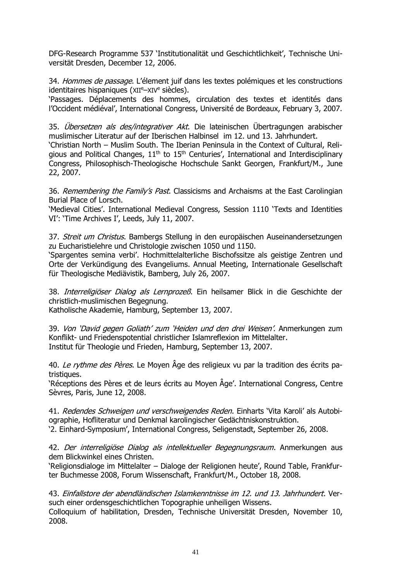DFG-Research Programme 537 'Institutionalität und Geschichtlichkeit', Technische Universität Dresden, December 12, 2006.

34. Hommes de passage. L'élement juif dans les textes polémiques et les constructions identitaires hispaniques (XII<sup>e</sup>–XIV<sup>e</sup> siècles).

'Passages. Déplacements des hommes, circulation des textes et identités dans l'Occident médiéval', International Congress, Université de Bordeaux, February 3, 2007.

35. Übersetzen als des/integrativer Akt. Die lateinischen Übertragungen arabischer muslimischer Literatur auf der Iberischen Halbinsel im 12. und 13. Jahrhundert.

'Christian North – Muslim South. The Iberian Peninsula in the Context of Cultural, Religious and Political Changes,  $11<sup>th</sup>$  to  $15<sup>th</sup>$  Centuries', International and Interdisciplinary Congress, Philosophisch-Theologische Hochschule Sankt Georgen, Frankfurt/M., June 22, 2007.

36. Remembering the Family's Past. Classicisms and Archaisms at the East Carolingian Burial Place of Lorsch.

'Medieval Cities'. International Medieval Congress, Session 1110 'Texts and Identities VI': 'Time Archives I', Leeds, July 11, 2007.

37. Streit um Christus. Bambergs Stellung in den europäischen Auseinandersetzungen zu Eucharistielehre und Christologie zwischen 1050 und 1150.

'Spargentes semina verbi'. Hochmittelalterliche Bischofssitze als geistige Zentren und Orte der Verkündigung des Evangeliums. Annual Meeting, Internationale Gesellschaft für Theologische Mediävistik, Bamberg, July 26, 2007.

38. Interreligiöser Dialog als Lernprozeß. Ein heilsamer Blick in die Geschichte der christlich-muslimischen Begegnung.

Katholische Akademie, Hamburg, September 13, 2007.

39. Von 'David gegen Goliath' zum 'Heiden und den drei Weisen'. Anmerkungen zum Konflikt- und Friedenspotential christlicher Islamreflexion im Mittelalter. Institut für Theologie und Frieden, Hamburg, September 13, 2007.

40. Le rythme des Pères. Le Moyen Âge des religieux vu par la tradition des écrits patristiques.

'Réceptions des Pères et de leurs écrits au Moyen Âge'. International Congress, Centre Sèvres, Paris, June 12, 2008.

41. Redendes Schweigen und verschweigendes Reden. Einharts 'Vita Karoli' als Autobiographie, Hofliteratur und Denkmal karolingischer Gedächtniskonstruktion. '2. Einhard-Symposium', International Congress, Seligenstadt, September 26, 2008.

42. Der interreligiöse Dialog als intellektueller Begegnungsraum. Anmerkungen aus dem Blickwinkel eines Christen.

'Religionsdialoge im Mittelalter – Dialoge der Religionen heute', Round Table, Frankfurter Buchmesse 2008, Forum Wissenschaft, Frankfurt/M., October 18, 2008.

43. Einfallstore der abendländischen Islamkenntnisse im 12. und 13. Jahrhundert. Versuch einer ordensgeschichtlichen Topographie unheiligen Wissens.

Colloquium of habilitation, Dresden, Technische Universität Dresden, November 10, 2008.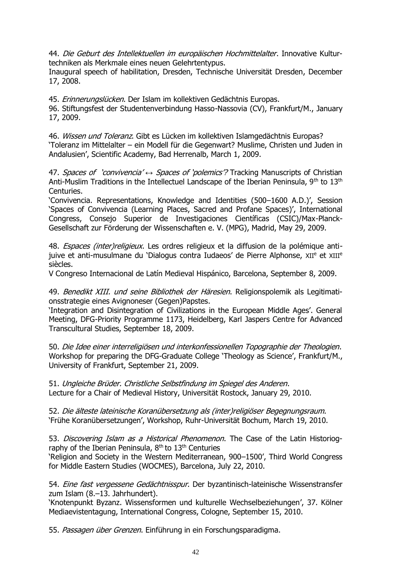44. Die Geburt des Intellektuellen im europäischen Hochmittelalter. Innovative Kulturtechniken als Merkmale eines neuen Gelehrtentypus.

Inaugural speech of habilitation, Dresden, Technische Universität Dresden, December 17, 2008.

45. Erinnerungslücken. Der Islam im kollektiven Gedächtnis Europas.

96. Stiftungsfest der Studentenverbindung Hasso-Nassovia (CV), Frankfurt/M., January 17, 2009.

46. Wissen und Toleranz. Gibt es Lücken im kollektiven Islamgedächtnis Europas? 'Toleranz im Mittelalter – ein Modell für die Gegenwart? Muslime, Christen und Juden in Andalusien', Scientific Academy, Bad Herrenalb, March 1, 2009.

47. Spaces of 'convivencia' *↔* Spaces of 'polemics'? Tracking Manuscripts of Christian Anti-Muslim Traditions in the Intellectuel Landscape of the Iberian Peninsula, 9<sup>th</sup> to 13<sup>th</sup> Centuries.

'Convivencia. Representations, Knowledge and Identities (500–1600 A.D.)', Session 'Spaces of Convivencia (Learning Places, Sacred and Profane Spaces)', International Congress, Consejo Superior de Investigaciones Científicas (CSIC)/Max-Planck-Gesellschaft zur Förderung der Wissenschaften e. V. (MPG), Madrid, May 29, 2009.

48. *Espaces (inter)religieux*. Les ordres religieux et la diffusion de la polémique antijuive et anti-musulmane du 'Dialogus contra Iudaeos' de Pierre Alphonse, XII<sup>e</sup> et XIII<sup>e</sup> siècles.

V Congreso Internacional de Latín Medieval Hispánico, Barcelona, September 8, 2009.

49. Benedikt XIII. und seine Bibliothek der Häresien. Religionspolemik als Legitimationsstrategie eines Avignoneser (Gegen)Papstes.

'Integration and Disintegration of Civilizations in the European Middle Ages'. General Meeting, DFG-Priority Programme 1173, Heidelberg, Karl Jaspers Centre for Advanced Transcultural Studies, September 18, 2009.

50. Die Idee einer interreligiösen und interkonfessionellen Topographie der Theologien. Workshop for preparing the DFG-Graduate College 'Theology as Science', Frankfurt/M., University of Frankfurt, September 21, 2009.

51. Ungleiche Brüder. Christliche Selbstfindung im Spiegel des Anderen. Lecture for a Chair of Medieval History, Universität Rostock, January 29, 2010.

52. Die älteste lateinische Koranübersetzung als (inter)religiöser Begegnungsraum. 'Frühe Koranübersetzungen', Workshop, Ruhr-Universität Bochum, March 19, 2010.

53. Discovering Islam as a Historical Phenomenon. The Case of the Latin Historiography of the Iberian Peninsula,  $8<sup>th</sup>$  to  $13<sup>th</sup>$  Centuries

'Religion and Society in the Western Mediterranean, 900–1500', Third World Congress for Middle Eastern Studies (WOCMES), Barcelona, July 22, 2010.

54. Eine fast vergessene Gedächtnisspur. Der byzantinisch-lateinische Wissenstransfer zum Islam (8.–13. Jahrhundert).

'Knotenpunkt Byzanz. Wissensformen und kulturelle Wechselbeziehungen', 37. Kölner Mediaevistentagung, International Congress, Cologne, September 15, 2010.

55. Passagen über Grenzen. Einführung in ein Forschungsparadigma.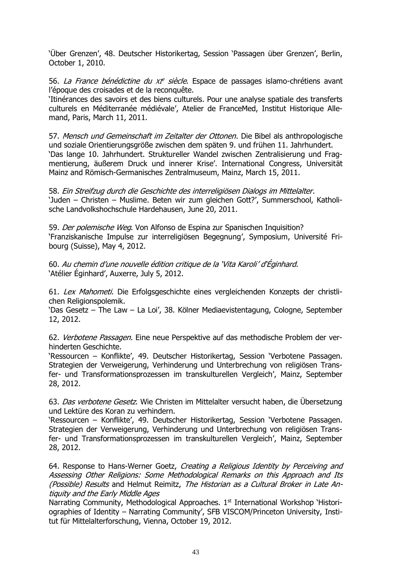'Über Grenzen', 48. Deutscher Historikertag, Session 'Passagen über Grenzen', Berlin, October 1, 2010.

56. *La France bénédictine du XI<sup>e</sup> siècle*. Espace de passages islamo-chrétiens avant l'époque des croisades et de la reconquête.

'Itinérances des savoirs et des biens culturels. Pour une analyse spatiale des transferts culturels en Méditerranée médiévale', Atelier de FranceMed, Institut Historique Allemand, Paris, March 11, 2011.

57. Mensch und Gemeinschaft im Zeitalter der Ottonen. Die Bibel als anthropologische und soziale Orientierungsgröße zwischen dem späten 9. und frühen 11. Jahrhundert. 'Das lange 10. Jahrhundert. Struktureller Wandel zwischen Zentralisierung und Fragmentierung, äußerem Druck und innerer Krise'. International Congress, Universität Mainz and Römisch-Germanisches Zentralmuseum, Mainz, March 15, 2011.

58. Ein Streifzug durch die Geschichte des interreligiösen Dialogs im Mittelalter. 'Juden – Christen – Muslime. Beten wir zum gleichen Gott?', Summerschool, Katholische Landvolkshochschule Hardehausen, June 20, 2011.

59. Der polemische Weg. Von Alfonso de Espina zur Spanischen Inquisition? 'Franziskanische Impulse zur interreligiösen Begegnung', Symposium, Université Fribourg (Suisse), May 4, 2012.

60. Au chemin d'une nouvelle édition critique de la 'Vita Karoli' d'Éginhard. 'Atélier Éginhard', Auxerre, July 5, 2012.

61. Lex Mahometi. Die Erfolgsgeschichte eines vergleichenden Konzepts der christlichen Religionspolemik.

'Das Gesetz – The Law – La Loi', 38. Kölner Mediaevistentagung, Cologne, September 12, 2012.

62. Verbotene Passagen. Eine neue Perspektive auf das methodische Problem der verhinderten Geschichte.

'Ressourcen – Konflikte', 49. Deutscher Historikertag, Session 'Verbotene Passagen. Strategien der Verweigerung, Verhinderung und Unterbrechung von religiösen Transfer- und Transformationsprozessen im transkulturellen Vergleich', Mainz, September 28, 2012.

63. Das verbotene Gesetz. Wie Christen im Mittelalter versucht haben, die Übersetzung und Lektüre des Koran zu verhindern.

'Ressourcen – Konflikte', 49. Deutscher Historikertag, Session 'Verbotene Passagen. Strategien der Verweigerung, Verhinderung und Unterbrechung von religiösen Transfer- und Transformationsprozessen im transkulturellen Vergleich', Mainz, September 28, 2012.

64. Response to Hans-Werner Goetz, Creating a Religious Identity by Perceiving and Assessing Other Religions: Some Methodological Remarks on this Approach and Its (Possible) Results and Helmut Reimitz, The Historian as a Cultural Broker in Late Antiquity and the Early Middle Ages

Narrating Community, Methodological Approaches. 1<sup>st</sup> International Workshop 'Historiographies of Identity – Narrating Community', SFB VISCOM/Princeton University, Institut für Mittelalterforschung, Vienna, October 19, 2012.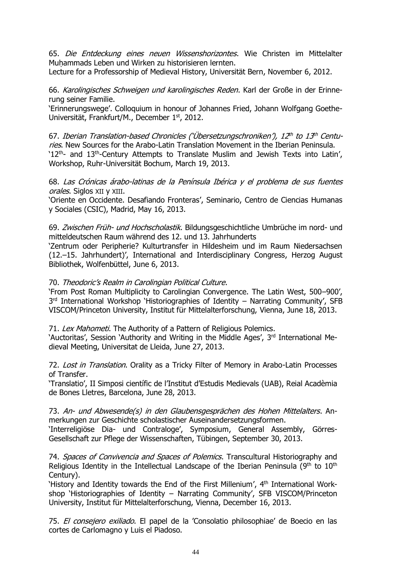65. Die Entdeckung eines neuen Wissenshorizontes. Wie Christen im Mittelalter Muhammads Leben und Wirken zu historisieren lernten.

Lecture for a Professorship of Medieval History, Universität Bern, November 6, 2012.

66. Karolingisches Schweigen und karolingisches Reden. Karl der Große in der Erinnerung seiner Familie.

'Erinnerungswege'. Colloquium in honour of Johannes Fried, Johann Wolfgang Goethe-Universität, Frankfurt/M., December 1st, 2012.

67. Iberian Translation-based Chronicles ('Übersetzungschroniken'), 12th to 13th Centuries. New Sources for the Arabo-Latin Translation Movement in the Iberian Peninsula. 12<sup>th</sup>- and 13<sup>th</sup>-Century Attempts to Translate Muslim and Jewish Texts into Latin', Workshop, Ruhr-Universität Bochum, March 19, 2013.

68. Las Crónicas árabo-latinas de la Península Ibérica y el problema de sus fuentes orales. Siglos XII y XIII.

'[Oriente en Occidente. Desafiando Fronteras](http://www.cchs.csic.es/es/content/oriente-en-occidente-desafiando-fronteras)', Seminario, Centro de Ciencias Humanas y Sociales (CSIC), Madrid, May 16, 2013.

69. Zwischen Früh- und Hochscholastik. Bildungsgeschichtliche Umbrüche im nord- und mitteldeutschen Raum während des 12. und 13. Jahrhunderts

'Zentrum oder Peripherie? Kulturtransfer in Hildesheim und im Raum Niedersachsen (12.–15. Jahrhundert)', International and Interdisciplinary Congress, Herzog August Bibliothek, Wolfenbüttel, June 6, 2013.

### 70. Theodoric's Realm in Carolingian Political Culture.

'From Post Roman Multiplicity to Carolingian Convergence. The Latin West, 500–900', 3<sup>rd</sup> International Workshop 'Historiographies of Identity – Narrating Community', SFB VISCOM/Princeton University, Institut für Mittelalterforschung, Vienna, June 18, 2013.

71. Lex Mahometi. The Authority of a Pattern of Religious Polemics.

'Auctoritas', Session 'Authority and Writing in the Middle Ages', 3rd International Medieval Meeting, Universitat de Lleida, June 27, 2013.

72. Lost in Translation. Orality as a Tricky Filter of Memory in Arabo-Latin Processes of Transfer.

'Translatio', II Simposi científic de l'Institut d'Estudis Medievals (UAB), Reial Acadèmia de Bones Lletres, Barcelona, June 28, 2013.

73. An- und Abwesende(s) in den Glaubensgesprächen des Hohen Mittelalters. Anmerkungen zur Geschichte scholastischer Auseinandersetzungsformen.

'Interreligiöse Dia- und Contraloge', Symposium, General Assembly, Görres-Gesellschaft zur Pflege der Wissenschaften, Tübingen, September 30, 2013.

74. Spaces of Convivencia and Spaces of Polemics. Transcultural Historiography and Religious Identity in the Intellectual Landscape of the Iberian Peninsula ( $9<sup>th</sup>$  to  $10<sup>th</sup>$ Century).

'History and Identity towards the End of the First Millenium', 4th International Workshop 'Historiographies of Identity – Narrating Community', SFB VISCOM/Princeton University, Institut für Mittelalterforschung, Vienna, December 16, 2013.

75. El consejero exiliado. El papel de la 'Consolatio philosophiae' de Boecio en las cortes de Carlomagno y Luis el Piadoso.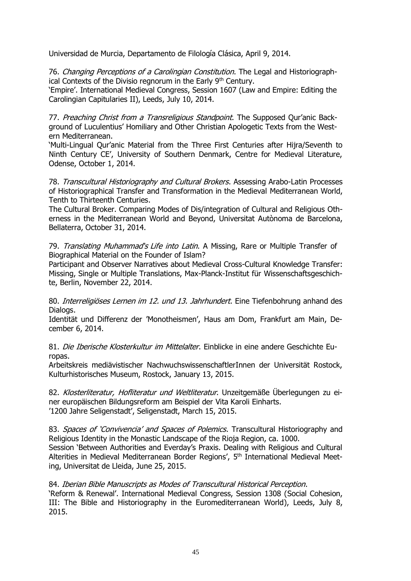Universidad de Murcia, Departamento de Filología Clásica, April 9, 2014.

76. Changing Perceptions of a Carolingian Constitution. The Legal and Historiographical Contexts of the Divisio regnorum in the Early 9<sup>th</sup> Century.

'Empire'. International Medieval Congress, Session 1607 (Law and Empire: Editing the Carolingian Capitularies II), Leeds, July 10, 2014.

77. Preaching Christ from a Transreligious Standpoint. The Supposed Qur'anic Background of Luculentius' Homiliary and Other Christian Apologetic Texts from the Western Mediterranean.

'Multi-Lingual Qur'anic Material from the Three First Centuries after Hijra/Seventh to Ninth Century CE', University of Southern Denmark, Centre for Medieval Literature, Odense, October 1, 2014.

78. Transcultural Historiography and Cultural Brokers. Assessing Arabo-Latin Processes of Historiographical Transfer and Transformation in the Medieval Mediterranean World, Tenth to Thirteenth Centuries.

The Cultural Broker. Comparing Modes of Dis/integration of Cultural and Religious Otherness in the Mediterranean World and Beyond, Universitat Autònoma de Barcelona, Bellaterra, October 31, 2014.

79. Translating Muhammad's Life into Latin. A Missing, Rare or Multiple Transfer of Biographical Material on the Founder of Islam?

Participant and Observer Narratives about Medieval Cross-Cultural Knowledge Transfer: Missing, Single or Multiple Translations, Max-Planck-Institut für Wissenschaftsgeschichte, Berlin, November 22, 2014.

80. Interreligiöses Lernen im 12. und 13. Jahrhundert. Eine Tiefenbohrung anhand des Dialogs.

Identität und Differenz der 'Monotheismen', Haus am Dom, Frankfurt am Main, December 6, 2014.

81. Die Iberische Klosterkultur im Mittelalter. Einblicke in eine andere Geschichte Europas.

Arbeitskreis mediävistischer NachwuchswissenschaftlerInnen der Universität Rostock, Kulturhistorisches Museum, Rostock, January 13, 2015.

82. Klosterliteratur, Hofliteratur und Weltliteratur. Unzeitgemäße Überlegungen zu einer europäischen Bildungsreform am Beispiel der Vita Karoli Einharts. '1200 Jahre Seligenstadt', Seligenstadt, March 15, 2015.

83. Spaces of 'Convivencia' and Spaces of Polemics. Transcultural Historiography and Religious Identity in the Monastic Landscape of the Rioja Region, ca. 1000. Session 'Between Authorities and Everday's Praxis. Dealing with Religious and Cultural Alterities in Medieval Mediterranean Border Regions', 5<sup>th</sup> International Medieval Meeting, Universitat de Lleida, June 25, 2015.

84. Iberian Bible Manuscripts as Modes of Transcultural Historical Perception.

'Reform & Renewal'. International Medieval Congress, Session 1308 (Social Cohesion, III: The Bible and Historiography in the Euromediterranean World), Leeds, July 8, 2015.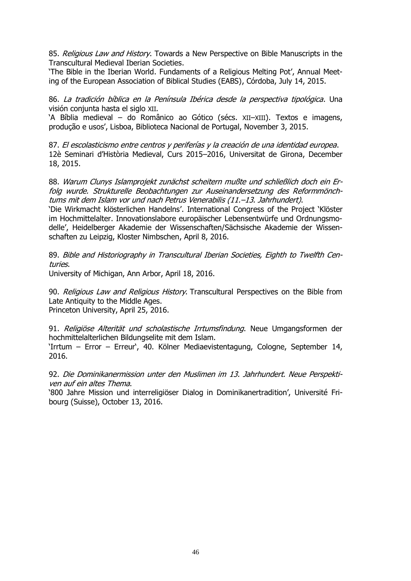85. Religious Law and History. Towards a New Perspective on Bible Manuscripts in the Transcultural Medieval Iberian Societies.

'The Bible in the Iberian World. Fundaments of a Religious Melting Pot', Annual Meeting of the European Association of Biblical Studies (EABS), Córdoba, July 14, 2015.

86. La tradición bíblica en la Península Ibérica desde la perspectiva tipológica. Una visión conjunta hasta el siglo XII.

'A Bíblia medieval – do Românico ao Gótico (sécs. XII–XIII). Textos e imagens, produção e usos', Lisboa, Biblioteca Nacional de Portugal, November 3, 2015.

87. El escolasticismo entre centros y periferías y la creación de una identidad europea. 12è Seminari d'Història Medieval, Curs 2015–2016, Universitat de Girona, December 18, 2015.

88. Warum Clunys Islamprojekt zunächst scheitern mußte und schließlich doch ein Erfolg wurde. Strukturelle Beobachtungen zur Auseinandersetzung des Reformmönchtums mit dem Islam vor und nach Petrus Venerabilis (11.–13. Jahrhundert).

'Die Wirkmacht klösterlichen Handelns'. International Congress of the Project 'Klöster im Hochmittelalter. Innovationslabore europäischer Lebensentwürfe und Ordnungsmodelle', Heidelberger Akademie der Wissenschaften/Sächsische Akademie der Wissenschaften zu Leipzig, Kloster Nimbschen, April 8, 2016.

89. Bible and Historiography in Transcultural Iberian Societies, Eighth to Twelfth Centuries.

University of Michigan, Ann Arbor, April 18, 2016.

90. Religious Law and Religious History. Transcultural Perspectives on the Bible from Late Antiquity to the Middle Ages. Princeton University, April 25, 2016.

91. Religiöse Alterität und scholastische Irrtumsfindung. Neue Umgangsformen der hochmittelalterlichen Bildungselite mit dem Islam.

'Irrtum – Error – Erreur', 40. Kölner Mediaevistentagung, Cologne, September 14, 2016.

92. Die Dominikanermission unter den Muslimen im 13. Jahrhundert. Neue Perspektiven auf ein altes Thema.

'800 Jahre Mission und interreligiöser Dialog in Dominikanertradition', Université Fribourg (Suisse), October 13, 2016.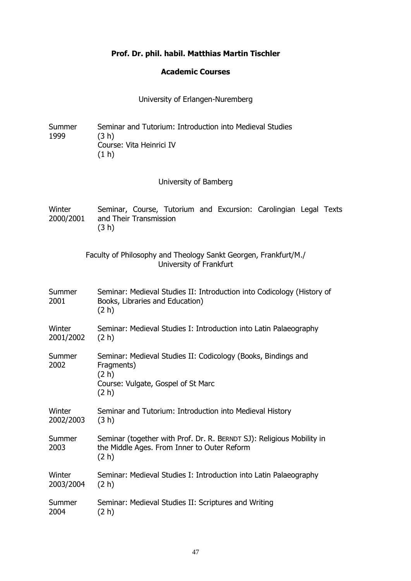# **Prof. Dr. phil. habil. Matthias Martin Tischler**

# **Academic Courses**

University of Erlangen-Nuremberg

| Summer<br>1999      | Seminar and Tutorium: Introduction into Medieval Studies<br>(3 h)<br>Course: Vita Heinrici IV<br>(1 h)                              |
|---------------------|-------------------------------------------------------------------------------------------------------------------------------------|
|                     | University of Bamberg                                                                                                               |
| Winter<br>2000/2001 | Seminar, Course, Tutorium and Excursion: Carolingian Legal Texts<br>and Their Transmission<br>(3 h)                                 |
|                     | Faculty of Philosophy and Theology Sankt Georgen, Frankfurt/M./<br>University of Frankfurt                                          |
| Summer<br>2001      | Seminar: Medieval Studies II: Introduction into Codicology (History of<br>Books, Libraries and Education)<br>(2 h)                  |
| Winter<br>2001/2002 | Seminar: Medieval Studies I: Introduction into Latin Palaeography<br>(2 h)                                                          |
| Summer<br>2002      | Seminar: Medieval Studies II: Codicology (Books, Bindings and<br>Fragments)<br>(2 h)<br>Course: Vulgate, Gospel of St Marc<br>(2 h) |
| Winter<br>2002/2003 | Seminar and Tutorium: Introduction into Medieval History<br>(3 h)                                                                   |
| Summer<br>2003      | Seminar (together with Prof. Dr. R. BERNDT SJ): Religious Mobility in<br>the Middle Ages. From Inner to Outer Reform<br>(2 h)       |
| Winter<br>2003/2004 | Seminar: Medieval Studies I: Introduction into Latin Palaeography<br>(2 h)                                                          |
| Summer<br>2004      | Seminar: Medieval Studies II: Scriptures and Writing<br>(2 h)                                                                       |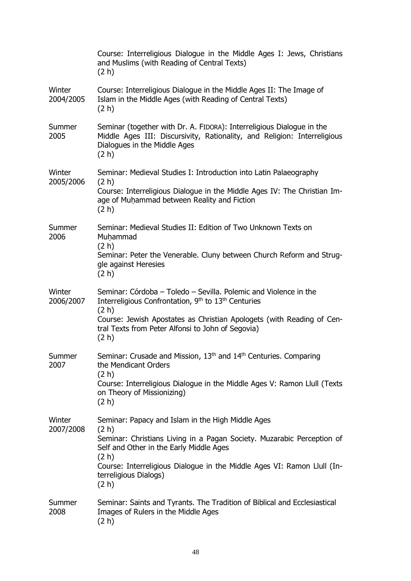|                     | Course: Interreligious Dialogue in the Middle Ages I: Jews, Christians<br>and Muslims (with Reading of Central Texts)<br>(2 h)                                                                                                                                                                        |
|---------------------|-------------------------------------------------------------------------------------------------------------------------------------------------------------------------------------------------------------------------------------------------------------------------------------------------------|
| Winter<br>2004/2005 | Course: Interreligious Dialogue in the Middle Ages II: The Image of<br>Islam in the Middle Ages (with Reading of Central Texts)<br>(2 h)                                                                                                                                                              |
| Summer<br>2005      | Seminar (together with Dr. A. FIDORA): Interreligious Dialogue in the<br>Middle Ages III: Discursivity, Rationality, and Religion: Interreligious<br>Dialogues in the Middle Ages<br>(2 h)                                                                                                            |
| Winter<br>2005/2006 | Seminar: Medieval Studies I: Introduction into Latin Palaeography<br>(2 h)<br>Course: Interreligious Dialogue in the Middle Ages IV: The Christian Im-<br>age of Muhammad between Reality and Fiction<br>(2 h)                                                                                        |
| Summer<br>2006      | Seminar: Medieval Studies II: Edition of Two Unknown Texts on<br>Muhammad<br>(2 h)<br>Seminar: Peter the Venerable. Cluny between Church Reform and Strug-<br>gle against Heresies<br>(2 h)                                                                                                           |
| Winter<br>2006/2007 | Seminar: Córdoba - Toledo - Sevilla. Polemic and Violence in the<br>Interreligious Confrontation, 9 <sup>th</sup> to 13 <sup>th</sup> Centuries<br>(2 h)<br>Course: Jewish Apostates as Christian Apologets (with Reading of Cen-<br>tral Texts from Peter Alfonsi to John of Segovia)<br>(2 h)       |
| Summer<br>2007      | Seminar: Crusade and Mission, 13 <sup>th</sup> and 14 <sup>th</sup> Centuries. Comparing<br>the Mendicant Orders<br>(2 h)<br>Course: Interreligious Dialogue in the Middle Ages V: Ramon Llull (Texts<br>on Theory of Missionizing)<br>(2 h)                                                          |
| Winter<br>2007/2008 | Seminar: Papacy and Islam in the High Middle Ages<br>(2 h)<br>Seminar: Christians Living in a Pagan Society. Muzarabic Perception of<br>Self and Other in the Early Middle Ages<br>(2 h)<br>Course: Interreligious Dialogue in the Middle Ages VI: Ramon Llull (In-<br>terreligious Dialogs)<br>(2 h) |
| Summer<br>2008      | Seminar: Saints and Tyrants. The Tradition of Biblical and Ecclesiastical<br>Images of Rulers in the Middle Ages<br>(2 h)                                                                                                                                                                             |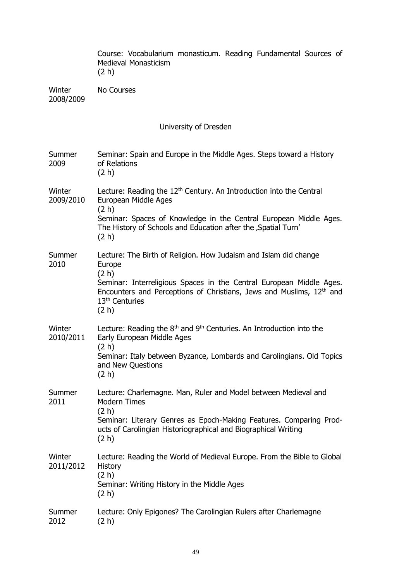|                       | Course: Vocabularium monasticum. Reading Fundamental Sources of<br><b>Medieval Monasticism</b><br>(2 h)                                                                                                                                                                   |  |  |  |
|-----------------------|---------------------------------------------------------------------------------------------------------------------------------------------------------------------------------------------------------------------------------------------------------------------------|--|--|--|
| Winter<br>2008/2009   | <b>No Courses</b>                                                                                                                                                                                                                                                         |  |  |  |
| University of Dresden |                                                                                                                                                                                                                                                                           |  |  |  |
| Summer<br>2009        | Seminar: Spain and Europe in the Middle Ages. Steps toward a History<br>of Relations<br>(2 h)                                                                                                                                                                             |  |  |  |
| Winter<br>2009/2010   | Lecture: Reading the 12 <sup>th</sup> Century. An Introduction into the Central<br>European Middle Ages<br>(2 h)<br>Seminar: Spaces of Knowledge in the Central European Middle Ages.<br>The History of Schools and Education after the , Spatial Turn'<br>(2 h)          |  |  |  |
| Summer<br>2010        | Lecture: The Birth of Religion. How Judaism and Islam did change<br>Europe<br>(2 h)<br>Seminar: Interreligious Spaces in the Central European Middle Ages.<br>Encounters and Perceptions of Christians, Jews and Muslims, 12th and<br>13 <sup>th</sup> Centuries<br>(2 h) |  |  |  |
| Winter<br>2010/2011   | Lecture: Reading the $8th$ and $9th$ Centuries. An Introduction into the<br>Early European Middle Ages<br>(2 h)<br>Seminar: Italy between Byzance, Lombards and Carolingians. Old Topics<br>and New Questions<br>(2 h)                                                    |  |  |  |
| Summer<br>2011        | Lecture: Charlemagne. Man, Ruler and Model between Medieval and<br><b>Modern Times</b><br>(2 h)<br>Seminar: Literary Genres as Epoch-Making Features. Comparing Prod-<br>ucts of Carolingian Historiographical and Biographical Writing<br>(2 h)                          |  |  |  |
| Winter<br>2011/2012   | Lecture: Reading the World of Medieval Europe. From the Bible to Global<br>History<br>(2 h)<br>Seminar: Writing History in the Middle Ages<br>(2 h)                                                                                                                       |  |  |  |
| Summer<br>2012        | Lecture: Only Epigones? The Carolingian Rulers after Charlemagne<br>(2 h)                                                                                                                                                                                                 |  |  |  |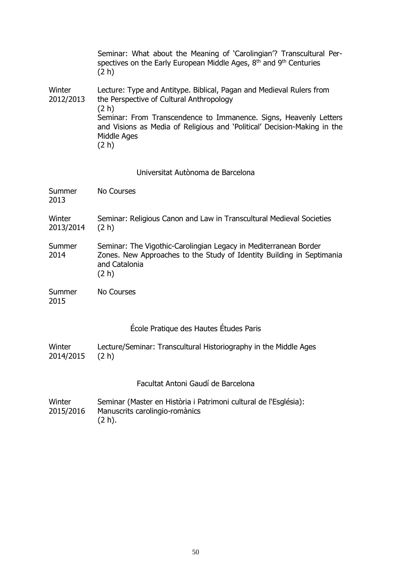|                     | Seminar: What about the Meaning of 'Carolingian'? Transcultural Per-<br>spectives on the Early European Middle Ages, $8th$ and $9th$ Centuries<br>(2 h)               |  |
|---------------------|-----------------------------------------------------------------------------------------------------------------------------------------------------------------------|--|
| Winter<br>2012/2013 | Lecture: Type and Antitype. Biblical, Pagan and Medieval Rulers from<br>the Perspective of Cultural Anthropology<br>(2 h)                                             |  |
|                     | Seminar: From Transcendence to Immanence. Signs, Heavenly Letters<br>and Visions as Media of Religious and 'Political' Decision-Making in the<br>Middle Ages<br>(2 h) |  |
|                     | Universitat Autònoma de Barcelona                                                                                                                                     |  |
| Summer<br>2013      | <b>No Courses</b>                                                                                                                                                     |  |
| Winter<br>2013/2014 | Seminar: Religious Canon and Law in Transcultural Medieval Societies<br>(2 h)                                                                                         |  |
| Summer<br>2014      | Seminar: The Vigothic-Carolingian Legacy in Mediterranean Border<br>Zones. New Approaches to the Study of Identity Building in Septimania<br>and Catalonia<br>(2 h)   |  |
| Summer<br>2015      | <b>No Courses</b>                                                                                                                                                     |  |
|                     | École Pratique des Hautes Études Paris                                                                                                                                |  |
| Winter<br>2014/2015 | Lecture/Seminar: Transcultural Historiography in the Middle Ages<br>(2 h)                                                                                             |  |
|                     | Facultat Antoni Gaudí de Barcelona                                                                                                                                    |  |
| Winter<br>2015/2016 | Seminar (Master en Història i Patrimoni cultural de l'Església):<br>Manuscrits carolingio-romànics<br>(2 h).                                                          |  |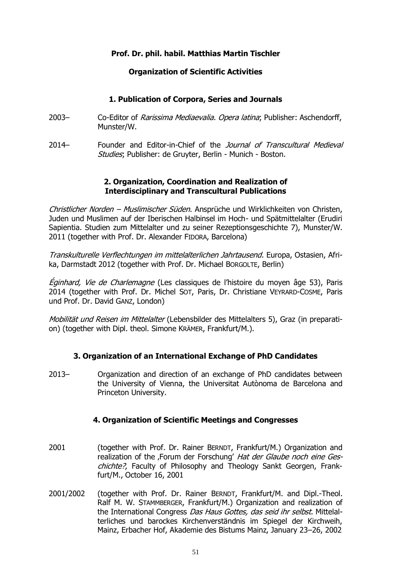# **Prof. Dr. phil. habil. Matthias Martin Tischler**

# **Organization of Scientific Activities**

# **1. Publication of Corpora, Series and Journals**

- 2003– Co-Editor of *Rarissima Mediaevalia. Opera latina*; Publisher: Aschendorff, Munster/W.
- 2014– Founder and Editor-in-Chief of the *Journal of Transcultural Medieval* Studies; Publisher: de Gruyter, Berlin - Munich - Boston.

# **2. Organization, Coordination and Realization of Interdisciplinary and Transcultural Publications**

Christlicher Norden - Muslimischer Süden. Ansprüche und Wirklichkeiten von Christen, Juden und Muslimen auf der Iberischen Halbinsel im Hoch- und Spätmittelalter (Erudiri Sapientia. Studien zum Mittelalter und zu seiner Rezeptionsgeschichte 7), Munster/W. 2011 (together with Prof. Dr. Alexander FIDORA, Barcelona)

Transkulturelle Verflechtungen im mittelalterlichen Jahrtausend. Europa, Ostasien, Afrika, Darmstadt 2012 (together with Prof. Dr. Michael BORGOLTE, Berlin)

Éginhard, Vie de Charlemagne (Les classiques de l'histoire du moyen âge 53), Paris 2014 (together with Prof. Dr. Michel SOT, Paris, Dr. Christiane VEYRARD-COSME, Paris und Prof. Dr. David GANZ, London)

Mobilität und Reisen im Mittelalter (Lebensbilder des Mittelalters 5), Graz (in preparation) (together with Dipl. theol. Simone KRÄMER, Frankfurt/M.).

# **3. Organization of an International Exchange of PhD Candidates**

2013– Organization and direction of an exchange of PhD candidates between the University of Vienna, the Universitat Autònoma de Barcelona and Princeton University.

# **4. Organization of Scientific Meetings and Congresses**

- 2001 (together with Prof. Dr. Rainer BERNDT, Frankfurt/M.) Organization and realization of the ,Forum der Forschung' Hat der Glaube noch eine Geschichte?, Faculty of Philosophy and Theology Sankt Georgen, Frankfurt/M., October 16, 2001
- 2001/2002 (together with Prof. Dr. Rainer BERNDT, Frankfurt/M. and Dipl.-Theol. Ralf M. W. STAMMBERGER, Frankfurt/M.) Organization and realization of the International Congress Das Haus Gottes, das seid ihr selbst. Mittelalterliches und barockes Kirchenverständnis im Spiegel der Kirchweih, Mainz, Erbacher Hof, Akademie des Bistums Mainz, January 23–26, 2002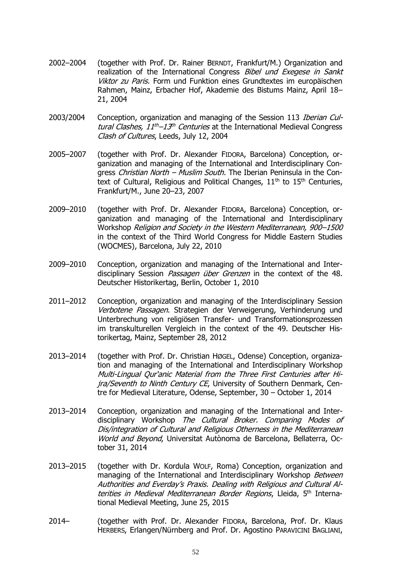- 2002–2004 (together with Prof. Dr. Rainer BERNDT, Frankfurt/M.) Organization and realization of the International Congress Bibel und Exegese in Sankt Viktor zu Paris. Form und Funktion eines Grundtextes im europäischen Rahmen, Mainz, Erbacher Hof, Akademie des Bistums Mainz, April 18– 21, 2004
- 2003/2004 Conception, organization and managing of the Session 113 *Iberian Cul*tural Clashes,  $11^{th}-13^{th}$  Centuries at the International Medieval Congress Clash of Cultures, Leeds, July 12, 2004
- 2005–2007 (together with Prof. Dr. Alexander FIDORA, Barcelona) Conception, organization and managing of the International and Interdisciplinary Congress Christian North – Muslim South. The Iberian Peninsula in the Context of Cultural, Religious and Political Changes,  $11<sup>th</sup>$  to  $15<sup>th</sup>$  Centuries, Frankfurt/M., June 20–23, 2007
- 2009–2010 (together with Prof. Dr. Alexander FIDORA, Barcelona) Conception, organization and managing of the International and Interdisciplinary Workshop Religion and Society in the Western Mediterranean, 900–1500 in the context of the Third World Congress for Middle Eastern Studies (WOCMES), Barcelona, July 22, 2010
- 2009–2010 Conception, organization and managing of the International and Interdisciplinary Session Passagen über Grenzen in the context of the 48. Deutscher Historikertag, Berlin, October 1, 2010
- 2011–2012 Conception, organization and managing of the Interdisciplinary Session Verbotene Passagen. Strategien der Verweigerung, Verhinderung und Unterbrechung von religiösen Transfer- und Transformationsprozessen im transkulturellen Vergleich in the context of the 49. Deutscher Historikertag, Mainz, September 28, 2012
- 2013–2014 (together with Prof. Dr. Christian HØGEL, Odense) Conception, organization and managing of the International and Interdisciplinary Workshop Multi-Lingual Qur'anic Material from the Three First Centuries after Hijra/Seventh to Ninth Century CE, University of Southern Denmark, Centre for Medieval Literature, Odense, September, 30 – October 1, 2014
- 2013–2014 Conception, organization and managing of the International and Interdisciplinary Workshop The Cultural Broker. Comparing Modes of Dis/integration of Cultural and Religious Otherness in the Mediterranean World and Beyond, Universitat Autònoma de Barcelona, Bellaterra, October 31, 2014
- 2013–2015 (together with Dr. Kordula WOLF, Roma) Conception, organization and managing of the International and Interdisciplinary Workshop Between Authorities and Everday's Praxis. Dealing with Religious and Cultural Alterities in Medieval Mediterranean Border Regions, Lleida, 5<sup>th</sup> International Medieval Meeting, June 25, 2015
- 2014– (together with Prof. Dr. Alexander FIDORA, Barcelona, Prof. Dr. Klaus HERBERS, Erlangen/Nürnberg and Prof. Dr. Agostino PARAVICINI BAGLIANI,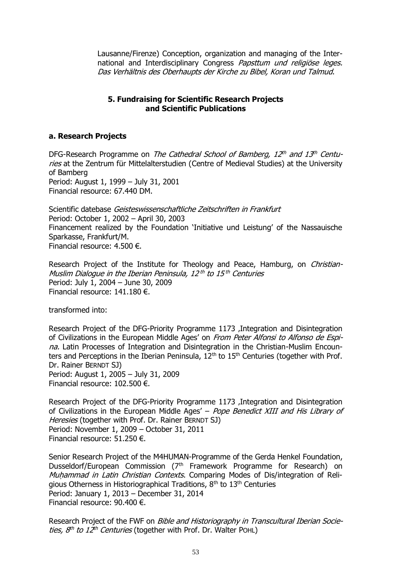Lausanne/Firenze) Conception, organization and managing of the International and Interdisciplinary Congress Papsttum und religiöse leges. Das Verhältnis des Oberhaupts der Kirche zu Bibel, Koran und Talmud.

# **5. Fundraising for Scientific Research Projects and Scientific Publications**

# **a. Research Projects**

DFG-Research Programme on *The Cathedral School of Bamberg, 12<sup>th</sup> and 13<sup>th</sup> Centu*ries at the Zentrum für Mittelalterstudien (Centre of Medieval Studies) at the University of Bamberg Period: August 1, 1999 – July 31, 2001 Financial resource: 67.440 DM.

Scientific datebase Geisteswissenschaftliche Zeitschriften in Frankfurt Period: October 1, 2002 – April 30, 2003 Financement realized by the Foundation 'Initiative und Leistung' of the Nassauische Sparkasse, Frankfurt/M. Financial resource: 4.500 €.

Research Project of the Institute for Theology and Peace, Hamburg, on Christian-Muslim Dialogue in the Iberian Peninsula, 12th to 15th Centuries Period: July 1, 2004 – June 30, 2009 Financial resource: 141.180 €.

transformed into:

Research Project of the DFG-Priority Programme 1173 .Integration and Disintegration of Civilizations in the European Middle Ages' on From Peter Alfonsi to Alfonso de Espina. Latin Processes of Integration and Disintegration in the Christian-Muslim Encounters and Perceptions in the Iberian Peninsula,  $12<sup>th</sup>$  to  $15<sup>th</sup>$  Centuries (together with Prof. Dr. Rainer BERNDT SJ) Period: August 1, 2005 – July 31, 2009 Financial resource: 102.500 €.

Research Project of the DFG-Priority Programme 1173 , Integration and Disintegration of Civilizations in the European Middle Ages' - Pope Benedict XIII and His Library of Heresies (together with Prof. Dr. Rainer BERNDT SJ) Period: November 1, 2009 – October 31, 2011 Financial resource: 51.250 €.

Senior Research Project of the M4HUMAN-Programme of the Gerda Henkel Foundation, Dusseldorf/European Commission (7<sup>th</sup> Framework Programme for Research) on Muhammad in Latin Christian Contexts. Comparing Modes of Dis/integration of Religious Otherness in Historiographical Traditions,  $8<sup>th</sup>$  to  $13<sup>th</sup>$  Centuries Period: January 1, 2013 – December 31, 2014 Financial resource: 90.400 €.

Research Project of the FWF on *Bible and Historiography in Transcultural Iberian Societies,*  $8<sup>th</sup>$  *to 12<sup>th</sup> Centuries* (together with Prof. Dr. Walter POHL)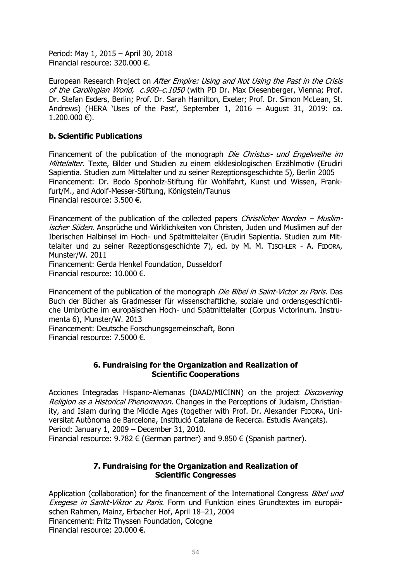Period: May 1, 2015 – April 30, 2018 Financial resource: 320.000 €.

European Research Project on After Empire: Using and Not Using the Past in the Crisis of the Carolingian World, c.900–c.1050 (with PD Dr. Max Diesenberger, Vienna; Prof. Dr. Stefan Esders, Berlin; Prof. Dr. Sarah Hamilton, Exeter; Prof. Dr. Simon McLean, St. Andrews) (HERA 'Uses of the Past', September 1, 2016 – August 31, 2019: ca.  $1.200.000 \in L$ .

# **b. Scientific Publications**

Financement of the publication of the monograph Die Christus- und Engelweihe im Mittelalter. Texte, Bilder und Studien zu einem ekklesiologischen Erzählmotiv (Erudiri Sapientia. Studien zum Mittelalter und zu seiner Rezeptionsgeschichte 5), Berlin 2005 Financement: Dr. Bodo Sponholz-Stiftung für Wohlfahrt, Kunst und Wissen, Frankfurt/M., and Adolf-Messer-Stiftung, Königstein/Taunus Financial resource: 3.500 €.

Financement of the publication of the collected papers *Christlicher Norden – Muslim*ischer Süden. Ansprüche und Wirklichkeiten von Christen, Juden und Muslimen auf der Iberischen Halbinsel im Hoch- und Spätmittelalter (Erudiri Sapientia. Studien zum Mittelalter und zu seiner Rezeptionsgeschichte 7), ed. by M. M. TISCHLER - A. FIDORA, Munster/W. 2011

Financement: Gerda Henkel Foundation, Dusseldorf Financial resource: 10.000 €.

Financement of the publication of the monograph *Die Bibel in Saint-Victor zu Paris*. Das Buch der Bücher als Gradmesser für wissenschaftliche, soziale und ordensgeschichtliche Umbrüche im europäischen Hoch- und Spätmittelalter (Corpus Victorinum. Instrumenta 6), Munster/W. 2013

Financement: Deutsche Forschungsgemeinschaft, Bonn Financial resource: 7.5000 €.

# **6. Fundraising for the Organization and Realization of Scientific Cooperations**

Acciones Integradas Hispano-Alemanas (DAAD/MICINN) on the project Discovering Religion as a Historical Phenomenon. Changes in the Perceptions of Judaism, Christianity, and Islam during the Middle Ages (together with Prof. Dr. Alexander FIDORA, Universitat Autònoma de Barcelona, Institució Catalana de Recerca. Estudis Avançats). Period: January 1, 2009 – December 31, 2010. Financial resource: 9.782  $\epsilon$  (German partner) and 9.850  $\epsilon$  (Spanish partner).

# **7. Fundraising for the Organization and Realization of Scientific Congresses**

Application (collaboration) for the financement of the International Congress Bibel und Exegese in Sankt-Viktor zu Paris. Form und Funktion eines Grundtextes im europäischen Rahmen, Mainz, Erbacher Hof, April 18–21, 2004 Financement: Fritz Thyssen Foundation, Cologne Financial resource: 20.000 €.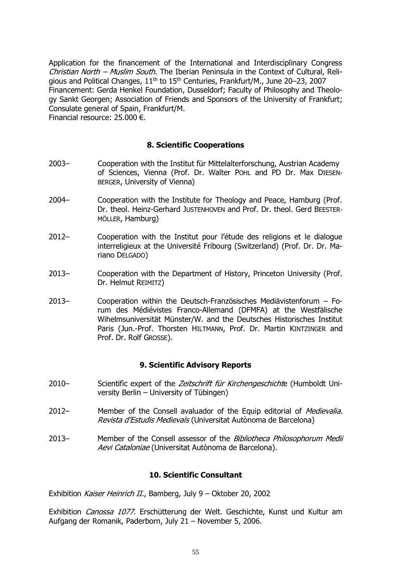Application for the financement of the International and Interdisciplinary Congress Christian North – Muslim South. The Iberian Peninsula in the Context of Cultural, Religious and Political Changes,  $11<sup>th</sup>$  to  $15<sup>th</sup>$  Centuries, Frankfurt/M., June 20–23, 2007 Financement: Gerda Henkel Foundation, Dusseldorf; Faculty of Philosophy and Theology Sankt Georgen; Association of Friends and Sponsors of the University of Frankfurt; Consulate general of Spain, Frankfurt/M. Financial resource: 25.000 €.

# **8. Scientific Cooperations**

- 2003– Cooperation with the Institut für Mittelalterforschung, Austrian Academy of Sciences, Vienna (Prof. Dr. Walter POHL and PD Dr. Max DIESEN-BERGER, University of Vienna)
- 2004– Cooperation with the Institute for Theology and Peace, Hamburg (Prof. Dr. theol. Heinz-Gerhard JUSTENHOVEN and Prof. Dr. theol. Gerd BEESTER-MÖLLER, Hamburg)
- 2012– Cooperation with the Institut pour l'étude des religions et le dialogue interreligieux at the Université Fribourg (Switzerland) (Prof. Dr. Dr. Mariano DELGADO)
- 2013– Cooperation with the Department of History, Princeton University (Prof. Dr. Helmut REIMITZ)
- 2013– Cooperation within the Deutsch-Französisches Mediävistenforum Forum des Médiévistes Franco-Allemand (DFMFA) at the Westfälische Wihelmsuniversität Münster/W. and the Deutsches Historisches Institut Paris (Jun.-Prof. Thorsten HILTMANN, Prof. Dr. Martin KINTZINGER and Prof. Dr. Rolf GROSSE).

# **9. Scientific Advisory Reports**

- 2010– Scientific expert of the Zeitschrift für Kirchengeschichte (Humboldt University Berlin – University of Tübingen)
- 2012– Member of the Consell avaluador of the Equip editorial of Medievalia. Revista d'Estudis Medievals (Universitat Autònoma de Barcelona)
- 2013– Member of the Consell assessor of the Bibliotheca Philosophorum Medii Aevi Cataloniae (Universitat Autònoma de Barcelona).

# **10. Scientific Consultant**

Exhibition Kaiser Heinrich II., Bamberg, July 9 - Oktober 20, 2002

Exhibition Canossa 1077. Erschütterung der Welt. Geschichte, Kunst und Kultur am Aufgang der Romanik, Paderborn, July 21 – November 5, 2006.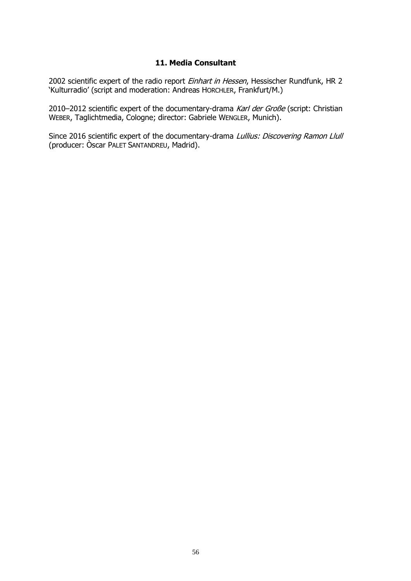# **11. Media Consultant**

2002 scientific expert of the radio report Einhart in Hessen, Hessischer Rundfunk, HR 2 'Kulturradio' (script and moderation: Andreas HORCHLER, Frankfurt/M.)

2010–2012 scientific expert of the documentary-drama Karl der Große (script: Christian WEBER, Taglichtmedia, Cologne; director: Gabriele WENGLER, Munich).

Since 2016 scientific expert of the documentary-drama Lullius: Discovering Ramon Llull (producer: Òscar PALET SANTANDREU, Madrid).